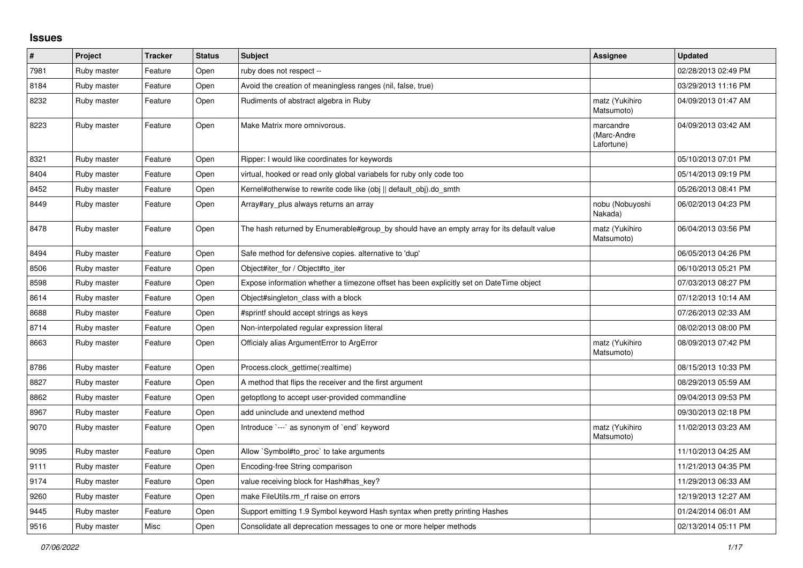## **Issues**

| $\vert$ # | Project     | <b>Tracker</b> | <b>Status</b> | <b>Subject</b>                                                                            | Assignee                               | <b>Updated</b>      |
|-----------|-------------|----------------|---------------|-------------------------------------------------------------------------------------------|----------------------------------------|---------------------|
| 7981      | Ruby master | Feature        | Open          | ruby does not respect --                                                                  |                                        | 02/28/2013 02:49 PM |
| 8184      | Ruby master | Feature        | Open          | Avoid the creation of meaningless ranges (nil, false, true)                               |                                        | 03/29/2013 11:16 PM |
| 8232      | Ruby master | Feature        | Open          | Rudiments of abstract algebra in Ruby                                                     | matz (Yukihiro<br>Matsumoto)           | 04/09/2013 01:47 AM |
| 8223      | Ruby master | Feature        | Open          | Make Matrix more omnivorous.                                                              | marcandre<br>(Marc-Andre<br>Lafortune) | 04/09/2013 03:42 AM |
| 8321      | Ruby master | Feature        | Open          | Ripper: I would like coordinates for keywords                                             |                                        | 05/10/2013 07:01 PM |
| 8404      | Ruby master | Feature        | Open          | virtual, hooked or read only global variabels for ruby only code too                      |                                        | 05/14/2013 09:19 PM |
| 8452      | Ruby master | Feature        | Open          | Kernel#otherwise to rewrite code like (obj    default obj).do smth                        |                                        | 05/26/2013 08:41 PM |
| 8449      | Ruby master | Feature        | Open          | Array#ary_plus always returns an array                                                    | nobu (Nobuyoshi<br>Nakada)             | 06/02/2013 04:23 PM |
| 8478      | Ruby master | Feature        | Open          | The hash returned by Enumerable#group_by should have an empty array for its default value | matz (Yukihiro<br>Matsumoto)           | 06/04/2013 03:56 PM |
| 8494      | Ruby master | Feature        | Open          | Safe method for defensive copies. alternative to 'dup'                                    |                                        | 06/05/2013 04:26 PM |
| 8506      | Ruby master | Feature        | Open          | Object#iter for / Object#to iter                                                          |                                        | 06/10/2013 05:21 PM |
| 8598      | Ruby master | Feature        | Open          | Expose information whether a timezone offset has been explicitly set on DateTime object   |                                        | 07/03/2013 08:27 PM |
| 8614      | Ruby master | Feature        | Open          | Object#singleton class with a block                                                       |                                        | 07/12/2013 10:14 AM |
| 8688      | Ruby master | Feature        | Open          | #sprintf should accept strings as keys                                                    |                                        | 07/26/2013 02:33 AM |
| 8714      | Ruby master | Feature        | Open          | Non-interpolated regular expression literal                                               |                                        | 08/02/2013 08:00 PM |
| 8663      | Ruby master | Feature        | Open          | Officialy alias ArgumentError to ArgError                                                 | matz (Yukihiro<br>Matsumoto)           | 08/09/2013 07:42 PM |
| 8786      | Ruby master | Feature        | Open          | Process.clock_gettime(:realtime)                                                          |                                        | 08/15/2013 10:33 PM |
| 8827      | Ruby master | Feature        | Open          | A method that flips the receiver and the first argument                                   |                                        | 08/29/2013 05:59 AM |
| 8862      | Ruby master | Feature        | Open          | getoptlong to accept user-provided commandline                                            |                                        | 09/04/2013 09:53 PM |
| 8967      | Ruby master | Feature        | Open          | add uninclude and unextend method                                                         |                                        | 09/30/2013 02:18 PM |
| 9070      | Ruby master | Feature        | Open          | Introduce `---` as synonym of `end` keyword                                               | matz (Yukihiro<br>Matsumoto)           | 11/02/2013 03:23 AM |
| 9095      | Ruby master | Feature        | Open          | Allow `Symbol#to_proc` to take arguments                                                  |                                        | 11/10/2013 04:25 AM |
| 9111      | Ruby master | Feature        | Open          | Encoding-free String comparison                                                           |                                        | 11/21/2013 04:35 PM |
| 9174      | Ruby master | Feature        | Open          | value receiving block for Hash#has key?                                                   |                                        | 11/29/2013 06:33 AM |
| 9260      | Ruby master | Feature        | Open          | make FileUtils.rm_rf raise on errors                                                      |                                        | 12/19/2013 12:27 AM |
| 9445      | Ruby master | Feature        | Open          | Support emitting 1.9 Symbol keyword Hash syntax when pretty printing Hashes               |                                        | 01/24/2014 06:01 AM |
| 9516      | Ruby master | Misc           | Open          | Consolidate all deprecation messages to one or more helper methods                        |                                        | 02/13/2014 05:11 PM |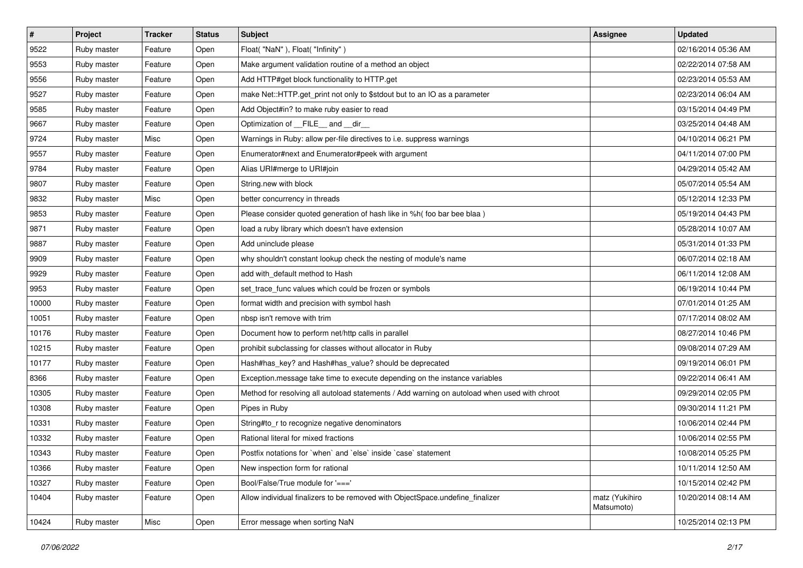| $\vert$ # | Project     | <b>Tracker</b> | <b>Status</b> | <b>Subject</b>                                                                               | <b>Assignee</b>              | <b>Updated</b>      |
|-----------|-------------|----------------|---------------|----------------------------------------------------------------------------------------------|------------------------------|---------------------|
| 9522      | Ruby master | Feature        | Open          | Float("NaN"), Float("Infinity")                                                              |                              | 02/16/2014 05:36 AM |
| 9553      | Ruby master | Feature        | Open          | Make argument validation routine of a method an object                                       |                              | 02/22/2014 07:58 AM |
| 9556      | Ruby master | Feature        | Open          | Add HTTP#get block functionality to HTTP.get                                                 |                              | 02/23/2014 05:53 AM |
| 9527      | Ruby master | Feature        | Open          | make Net::HTTP.get_print not only to \$stdout but to an IO as a parameter                    |                              | 02/23/2014 06:04 AM |
| 9585      | Ruby master | Feature        | Open          | Add Object#in? to make ruby easier to read                                                   |                              | 03/15/2014 04:49 PM |
| 9667      | Ruby master | Feature        | Open          | Optimization of FILE_and _dir_                                                               |                              | 03/25/2014 04:48 AM |
| 9724      | Ruby master | Misc           | Open          | Warnings in Ruby: allow per-file directives to i.e. suppress warnings                        |                              | 04/10/2014 06:21 PM |
| 9557      | Ruby master | Feature        | Open          | Enumerator#next and Enumerator#peek with argument                                            |                              | 04/11/2014 07:00 PM |
| 9784      | Ruby master | Feature        | Open          | Alias URI#merge to URI#join                                                                  |                              | 04/29/2014 05:42 AM |
| 9807      | Ruby master | Feature        | Open          | String.new with block                                                                        |                              | 05/07/2014 05:54 AM |
| 9832      | Ruby master | Misc           | Open          | better concurrency in threads                                                                |                              | 05/12/2014 12:33 PM |
| 9853      | Ruby master | Feature        | Open          | Please consider quoted generation of hash like in %h( foo bar bee blaa)                      |                              | 05/19/2014 04:43 PM |
| 9871      | Ruby master | Feature        | Open          | load a ruby library which doesn't have extension                                             |                              | 05/28/2014 10:07 AM |
| 9887      | Ruby master | Feature        | Open          | Add uninclude please                                                                         |                              | 05/31/2014 01:33 PM |
| 9909      | Ruby master | Feature        | Open          | why shouldn't constant lookup check the nesting of module's name                             |                              | 06/07/2014 02:18 AM |
| 9929      | Ruby master | Feature        | Open          | add with_default method to Hash                                                              |                              | 06/11/2014 12:08 AM |
| 9953      | Ruby master | Feature        | Open          | set trace func values which could be frozen or symbols                                       |                              | 06/19/2014 10:44 PM |
| 10000     | Ruby master | Feature        | Open          | format width and precision with symbol hash                                                  |                              | 07/01/2014 01:25 AM |
| 10051     | Ruby master | Feature        | Open          | nbsp isn't remove with trim                                                                  |                              | 07/17/2014 08:02 AM |
| 10176     | Ruby master | Feature        | Open          | Document how to perform net/http calls in parallel                                           |                              | 08/27/2014 10:46 PM |
| 10215     | Ruby master | Feature        | Open          | prohibit subclassing for classes without allocator in Ruby                                   |                              | 09/08/2014 07:29 AM |
| 10177     | Ruby master | Feature        | Open          | Hash#has_key? and Hash#has_value? should be deprecated                                       |                              | 09/19/2014 06:01 PM |
| 8366      | Ruby master | Feature        | Open          | Exception.message take time to execute depending on the instance variables                   |                              | 09/22/2014 06:41 AM |
| 10305     | Ruby master | Feature        | Open          | Method for resolving all autoload statements / Add warning on autoload when used with chroot |                              | 09/29/2014 02:05 PM |
| 10308     | Ruby master | Feature        | Open          | Pipes in Ruby                                                                                |                              | 09/30/2014 11:21 PM |
| 10331     | Ruby master | Feature        | Open          | String#to_r to recognize negative denominators                                               |                              | 10/06/2014 02:44 PM |
| 10332     | Ruby master | Feature        | Open          | Rational literal for mixed fractions                                                         |                              | 10/06/2014 02:55 PM |
| 10343     | Ruby master | Feature        | Open          | Postfix notations for 'when' and 'else' inside 'case' statement                              |                              | 10/08/2014 05:25 PM |
| 10366     | Ruby master | Feature        | Open          | New inspection form for rational                                                             |                              | 10/11/2014 12:50 AM |
| 10327     | Ruby master | Feature        | Open          | Bool/False/True module for '==='                                                             |                              | 10/15/2014 02:42 PM |
| 10404     | Ruby master | Feature        | Open          | Allow individual finalizers to be removed with ObjectSpace.undefine_finalizer                | matz (Yukihiro<br>Matsumoto) | 10/20/2014 08:14 AM |
| 10424     | Ruby master | Misc           | Open          | Error message when sorting NaN                                                               |                              | 10/25/2014 02:13 PM |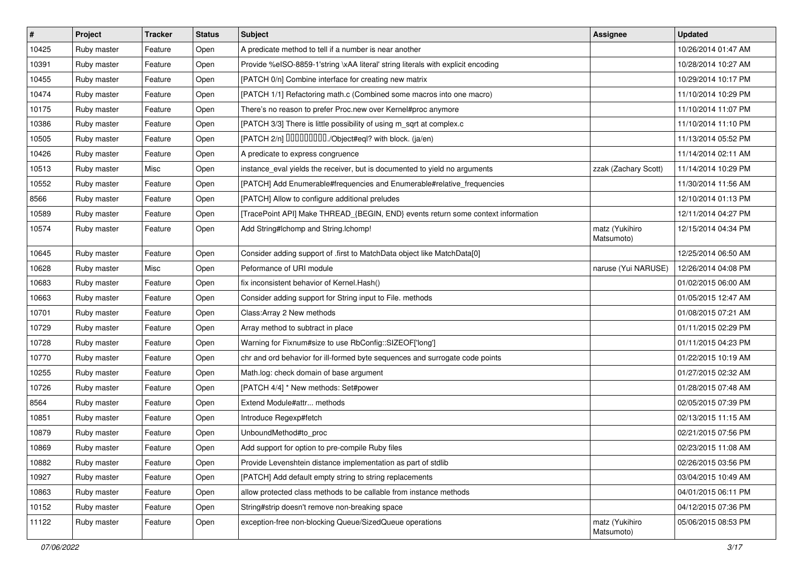| $\sharp$ | Project     | <b>Tracker</b> | <b>Status</b> | Subject                                                                          | Assignee                     | <b>Updated</b>      |
|----------|-------------|----------------|---------------|----------------------------------------------------------------------------------|------------------------------|---------------------|
| 10425    | Ruby master | Feature        | Open          | A predicate method to tell if a number is near another                           |                              | 10/26/2014 01:47 AM |
| 10391    | Ruby master | Feature        | Open          | Provide %eISO-8859-1'string \xAA literal' string literals with explicit encoding |                              | 10/28/2014 10:27 AM |
| 10455    | Ruby master | Feature        | Open          | [PATCH 0/n] Combine interface for creating new matrix                            |                              | 10/29/2014 10:17 PM |
| 10474    | Ruby master | Feature        | Open          | [PATCH 1/1] Refactoring math.c (Combined some macros into one macro)             |                              | 11/10/2014 10:29 PM |
| 10175    | Ruby master | Feature        | Open          | There's no reason to prefer Proc.new over Kernel#proc anymore                    |                              | 11/10/2014 11:07 PM |
| 10386    | Ruby master | Feature        | Open          | [PATCH 3/3] There is little possibility of using m_sqrt at complex.c             |                              | 11/10/2014 11:10 PM |
| 10505    | Ruby master | Feature        | Open          | [PATCH 2/n] DDDDDDDD./Object#eql? with block. (ja/en)                            |                              | 11/13/2014 05:52 PM |
| 10426    | Ruby master | Feature        | Open          | A predicate to express congruence                                                |                              | 11/14/2014 02:11 AM |
| 10513    | Ruby master | Misc           | Open          | instance_eval yields the receiver, but is documented to yield no arguments       | zzak (Zachary Scott)         | 11/14/2014 10:29 PM |
| 10552    | Ruby master | Feature        | Open          | [PATCH] Add Enumerable#frequencies and Enumerable#relative_frequencies           |                              | 11/30/2014 11:56 AM |
| 8566     | Ruby master | Feature        | Open          | [PATCH] Allow to configure additional preludes                                   |                              | 12/10/2014 01:13 PM |
| 10589    | Ruby master | Feature        | Open          | [TracePoint API] Make THREAD_{BEGIN, END} events return some context information |                              | 12/11/2014 04:27 PM |
| 10574    | Ruby master | Feature        | Open          | Add String#Ichomp and String.Ichomp!                                             | matz (Yukihiro<br>Matsumoto) | 12/15/2014 04:34 PM |
| 10645    | Ruby master | Feature        | Open          | Consider adding support of .first to MatchData object like MatchData[0]          |                              | 12/25/2014 06:50 AM |
| 10628    | Ruby master | Misc           | Open          | Peformance of URI module                                                         | naruse (Yui NARUSE)          | 12/26/2014 04:08 PM |
| 10683    | Ruby master | Feature        | Open          | fix inconsistent behavior of Kernel. Hash()                                      |                              | 01/02/2015 06:00 AM |
| 10663    | Ruby master | Feature        | Open          | Consider adding support for String input to File. methods                        |                              | 01/05/2015 12:47 AM |
| 10701    | Ruby master | Feature        | Open          | Class: Array 2 New methods                                                       |                              | 01/08/2015 07:21 AM |
| 10729    | Ruby master | Feature        | Open          | Array method to subtract in place                                                |                              | 01/11/2015 02:29 PM |
| 10728    | Ruby master | Feature        | Open          | Warning for Fixnum#size to use RbConfig::SIZEOF['long']                          |                              | 01/11/2015 04:23 PM |
| 10770    | Ruby master | Feature        | Open          | chr and ord behavior for ill-formed byte sequences and surrogate code points     |                              | 01/22/2015 10:19 AM |
| 10255    | Ruby master | Feature        | Open          | Math.log: check domain of base argument                                          |                              | 01/27/2015 02:32 AM |
| 10726    | Ruby master | Feature        | Open          | [PATCH 4/4] * New methods: Set#power                                             |                              | 01/28/2015 07:48 AM |
| 8564     | Ruby master | Feature        | Open          | Extend Module#attr methods                                                       |                              | 02/05/2015 07:39 PM |
| 10851    | Ruby master | Feature        | Open          | Introduce Regexp#fetch                                                           |                              | 02/13/2015 11:15 AM |
| 10879    | Ruby master | Feature        | Open          | UnboundMethod#to_proc                                                            |                              | 02/21/2015 07:56 PM |
| 10869    | Ruby master | Feature        | Open          | Add support for option to pre-compile Ruby files                                 |                              | 02/23/2015 11:08 AM |
| 10882    | Ruby master | Feature        | Open          | Provide Levenshtein distance implementation as part of stdlib                    |                              | 02/26/2015 03:56 PM |
| 10927    | Ruby master | Feature        | Open          | [PATCH] Add default empty string to string replacements                          |                              | 03/04/2015 10:49 AM |
| 10863    | Ruby master | Feature        | Open          | allow protected class methods to be callable from instance methods               |                              | 04/01/2015 06:11 PM |
| 10152    | Ruby master | Feature        | Open          | String#strip doesn't remove non-breaking space                                   |                              | 04/12/2015 07:36 PM |
| 11122    | Ruby master | Feature        | Open          | exception-free non-blocking Queue/SizedQueue operations                          | matz (Yukihiro<br>Matsumoto) | 05/06/2015 08:53 PM |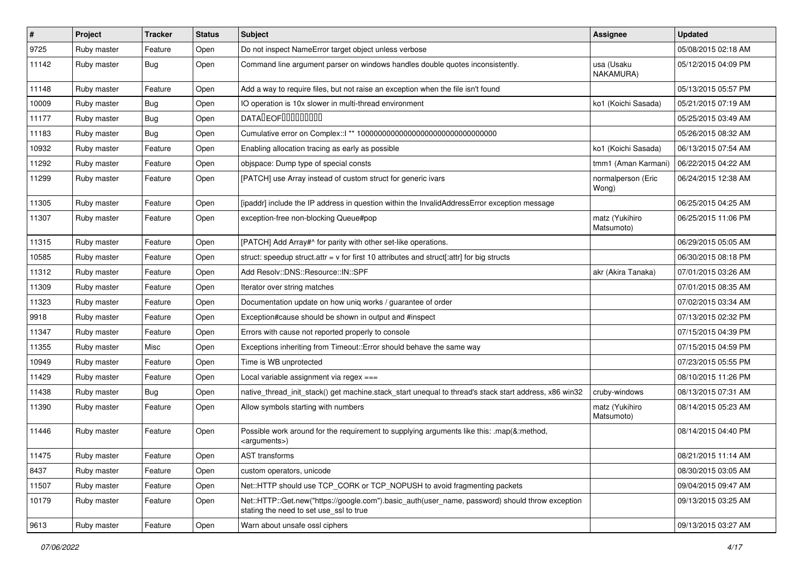| $\vert$ # | Project     | <b>Tracker</b> | <b>Status</b> | Subject                                                                                                                                    | Assignee                     | <b>Updated</b>      |
|-----------|-------------|----------------|---------------|--------------------------------------------------------------------------------------------------------------------------------------------|------------------------------|---------------------|
| 9725      | Ruby master | Feature        | Open          | Do not inspect NameError target object unless verbose                                                                                      |                              | 05/08/2015 02:18 AM |
| 11142     | Ruby master | <b>Bug</b>     | Open          | Command line argument parser on windows handles double quotes inconsistently.                                                              | usa (Usaku<br>NAKAMURA)      | 05/12/2015 04:09 PM |
| 11148     | Ruby master | Feature        | Open          | Add a way to require files, but not raise an exception when the file isn't found                                                           |                              | 05/13/2015 05:57 PM |
| 10009     | Ruby master | <b>Bug</b>     | Open          | IO operation is 10x slower in multi-thread environment                                                                                     | ko1 (Koichi Sasada)          | 05/21/2015 07:19 AM |
| 11177     | Ruby master | <b>Bug</b>     | Open          | DATALEOFILLLLLLLLLL                                                                                                                        |                              | 05/25/2015 03:49 AM |
| 11183     | Ruby master | <b>Bug</b>     | Open          |                                                                                                                                            |                              | 05/26/2015 08:32 AM |
| 10932     | Ruby master | Feature        | Open          | Enabling allocation tracing as early as possible                                                                                           | ko1 (Koichi Sasada)          | 06/13/2015 07:54 AM |
| 11292     | Ruby master | Feature        | Open          | objspace: Dump type of special consts                                                                                                      | tmm1 (Aman Karmani)          | 06/22/2015 04:22 AM |
| 11299     | Ruby master | Feature        | Open          | [PATCH] use Array instead of custom struct for generic ivars                                                                               | normalperson (Eric<br>Wong)  | 06/24/2015 12:38 AM |
| 11305     | Ruby master | Feature        | Open          | [ipaddr] include the IP address in question within the InvalidAddressError exception message                                               |                              | 06/25/2015 04:25 AM |
| 11307     | Ruby master | Feature        | Open          | exception-free non-blocking Queue#pop                                                                                                      | matz (Yukihiro<br>Matsumoto) | 06/25/2015 11:06 PM |
| 11315     | Ruby master | Feature        | Open          | [PATCH] Add Array#^ for parity with other set-like operations.                                                                             |                              | 06/29/2015 05:05 AM |
| 10585     | Ruby master | Feature        | Open          | struct: speedup struct.attr = $v$ for first 10 attributes and struct[:attr] for big structs                                                |                              | 06/30/2015 08:18 PM |
| 11312     | Ruby master | Feature        | Open          | Add Resolv::DNS::Resource::IN::SPF                                                                                                         | akr (Akira Tanaka)           | 07/01/2015 03:26 AM |
| 11309     | Ruby master | Feature        | Open          | Iterator over string matches                                                                                                               |                              | 07/01/2015 08:35 AM |
| 11323     | Ruby master | Feature        | Open          | Documentation update on how uniq works / guarantee of order                                                                                |                              | 07/02/2015 03:34 AM |
| 9918      | Ruby master | Feature        | Open          | Exception#cause should be shown in output and #inspect                                                                                     |                              | 07/13/2015 02:32 PM |
| 11347     | Ruby master | Feature        | Open          | Errors with cause not reported properly to console                                                                                         |                              | 07/15/2015 04:39 PM |
| 11355     | Ruby master | Misc           | Open          | Exceptions inheriting from Timeout:: Error should behave the same way                                                                      |                              | 07/15/2015 04:59 PM |
| 10949     | Ruby master | Feature        | Open          | Time is WB unprotected                                                                                                                     |                              | 07/23/2015 05:55 PM |
| 11429     | Ruby master | Feature        | Open          | Local variable assignment via regex ===                                                                                                    |                              | 08/10/2015 11:26 PM |
| 11438     | Ruby master | <b>Bug</b>     | Open          | native_thread_init_stack() get machine.stack_start unequal to thread's stack start address, x86 win32                                      | cruby-windows                | 08/13/2015 07:31 AM |
| 11390     | Ruby master | Feature        | Open          | Allow symbols starting with numbers                                                                                                        | matz (Yukihiro<br>Matsumoto) | 08/14/2015 05:23 AM |
| 11446     | Ruby master | Feature        | Open          | Possible work around for the requirement to supplying arguments like this: .map(&:method,<br><arguments>)</arguments>                      |                              | 08/14/2015 04:40 PM |
| 11475     | Ruby master | Feature        | Open          | AST transforms                                                                                                                             |                              | 08/21/2015 11:14 AM |
| 8437      | Ruby master | Feature        | Open          | custom operators, unicode                                                                                                                  |                              | 08/30/2015 03:05 AM |
| 11507     | Ruby master | Feature        | Open          | Net::HTTP should use TCP CORK or TCP NOPUSH to avoid fragmenting packets                                                                   |                              | 09/04/2015 09:47 AM |
| 10179     | Ruby master | Feature        | Open          | Net::HTTP::Get.new("https://google.com").basic_auth(user_name, password) should throw exception<br>stating the need to set use ssl to true |                              | 09/13/2015 03:25 AM |
| 9613      | Ruby master | Feature        | Open          | Warn about unsafe ossl ciphers                                                                                                             |                              | 09/13/2015 03:27 AM |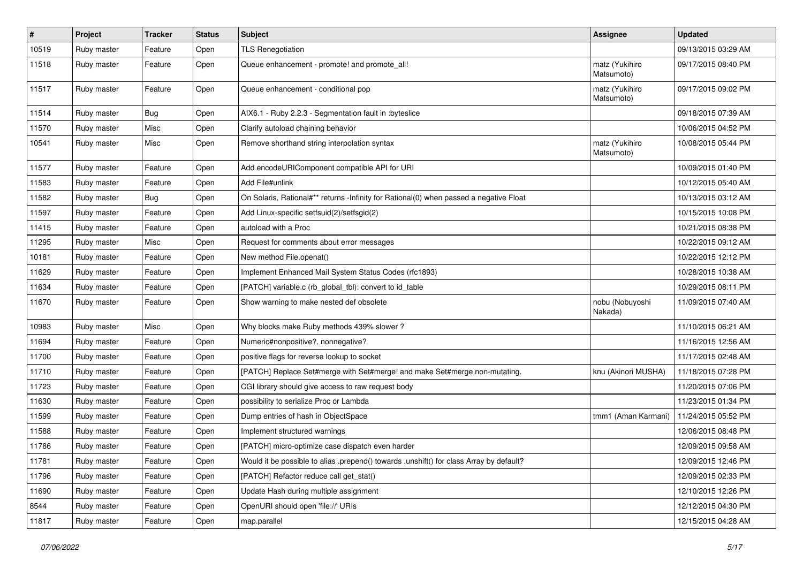| #     | Project     | <b>Tracker</b> | <b>Status</b> | <b>Subject</b>                                                                          | <b>Assignee</b>              | <b>Updated</b>      |
|-------|-------------|----------------|---------------|-----------------------------------------------------------------------------------------|------------------------------|---------------------|
| 10519 | Ruby master | Feature        | Open          | <b>TLS Renegotiation</b>                                                                |                              | 09/13/2015 03:29 AM |
| 11518 | Ruby master | Feature        | Open          | Queue enhancement - promote! and promote_all!                                           | matz (Yukihiro<br>Matsumoto) | 09/17/2015 08:40 PM |
| 11517 | Ruby master | Feature        | Open          | Queue enhancement - conditional pop                                                     | matz (Yukihiro<br>Matsumoto) | 09/17/2015 09:02 PM |
| 11514 | Ruby master | <b>Bug</b>     | Open          | AIX6.1 - Ruby 2.2.3 - Segmentation fault in :byteslice                                  |                              | 09/18/2015 07:39 AM |
| 11570 | Ruby master | Misc           | Open          | Clarify autoload chaining behavior                                                      |                              | 10/06/2015 04:52 PM |
| 10541 | Ruby master | Misc           | Open          | Remove shorthand string interpolation syntax                                            | matz (Yukihiro<br>Matsumoto) | 10/08/2015 05:44 PM |
| 11577 | Ruby master | Feature        | Open          | Add encodeURIComponent compatible API for URI                                           |                              | 10/09/2015 01:40 PM |
| 11583 | Ruby master | Feature        | Open          | Add File#unlink                                                                         |                              | 10/12/2015 05:40 AM |
| 11582 | Ruby master | <b>Bug</b>     | Open          | On Solaris, Rational#** returns -Infinity for Rational(0) when passed a negative Float  |                              | 10/13/2015 03:12 AM |
| 11597 | Ruby master | Feature        | Open          | Add Linux-specific setfsuid(2)/setfsgid(2)                                              |                              | 10/15/2015 10:08 PM |
| 11415 | Ruby master | Feature        | Open          | autoload with a Proc                                                                    |                              | 10/21/2015 08:38 PM |
| 11295 | Ruby master | Misc           | Open          | Request for comments about error messages                                               |                              | 10/22/2015 09:12 AM |
| 10181 | Ruby master | Feature        | Open          | New method File.openat()                                                                |                              | 10/22/2015 12:12 PM |
| 11629 | Ruby master | Feature        | Open          | Implement Enhanced Mail System Status Codes (rfc1893)                                   |                              | 10/28/2015 10:38 AM |
| 11634 | Ruby master | Feature        | Open          | [PATCH] variable.c (rb_global_tbl): convert to id_table                                 |                              | 10/29/2015 08:11 PM |
| 11670 | Ruby master | Feature        | Open          | Show warning to make nested def obsolete                                                | nobu (Nobuyoshi<br>Nakada)   | 11/09/2015 07:40 AM |
| 10983 | Ruby master | Misc           | Open          | Why blocks make Ruby methods 439% slower?                                               |                              | 11/10/2015 06:21 AM |
| 11694 | Ruby master | Feature        | Open          | Numeric#nonpositive?, nonnegative?                                                      |                              | 11/16/2015 12:56 AM |
| 11700 | Ruby master | Feature        | Open          | positive flags for reverse lookup to socket                                             |                              | 11/17/2015 02:48 AM |
| 11710 | Ruby master | Feature        | Open          | [PATCH] Replace Set#merge with Set#merge! and make Set#merge non-mutating.              | knu (Akinori MUSHA)          | 11/18/2015 07:28 PM |
| 11723 | Ruby master | Feature        | Open          | CGI library should give access to raw request body                                      |                              | 11/20/2015 07:06 PM |
| 11630 | Ruby master | Feature        | Open          | possibility to serialize Proc or Lambda                                                 |                              | 11/23/2015 01:34 PM |
| 11599 | Ruby master | Feature        | Open          | Dump entries of hash in ObjectSpace                                                     | tmm1 (Aman Karmani)          | 11/24/2015 05:52 PM |
| 11588 | Ruby master | Feature        | Open          | Implement structured warnings                                                           |                              | 12/06/2015 08:48 PM |
| 11786 | Ruby master | Feature        | Open          | [PATCH] micro-optimize case dispatch even harder                                        |                              | 12/09/2015 09:58 AM |
| 11781 | Ruby master | Feature        | Open          | Would it be possible to alias .prepend() towards .unshift() for class Array by default? |                              | 12/09/2015 12:46 PM |
| 11796 | Ruby master | Feature        | Open          | [PATCH] Refactor reduce call get_stat()                                                 |                              | 12/09/2015 02:33 PM |
| 11690 | Ruby master | Feature        | Open          | Update Hash during multiple assignment                                                  |                              | 12/10/2015 12:26 PM |
| 8544  | Ruby master | Feature        | Open          | OpenURI should open 'file://' URIs                                                      |                              | 12/12/2015 04:30 PM |
| 11817 | Ruby master | Feature        | Open          | map.parallel                                                                            |                              | 12/15/2015 04:28 AM |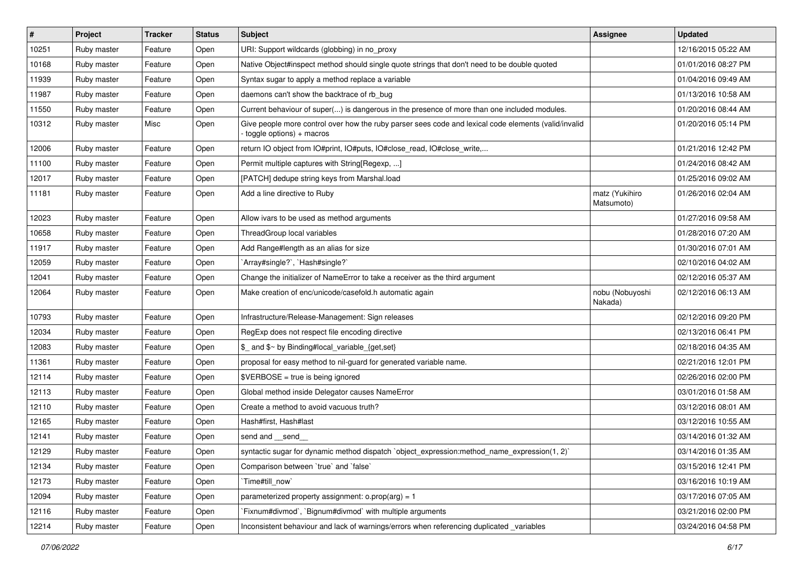| $\vert$ # | Project     | <b>Tracker</b> | <b>Status</b> | Subject                                                                                                                          | Assignee                     | <b>Updated</b>      |
|-----------|-------------|----------------|---------------|----------------------------------------------------------------------------------------------------------------------------------|------------------------------|---------------------|
| 10251     | Ruby master | Feature        | Open          | URI: Support wildcards (globbing) in no_proxy                                                                                    |                              | 12/16/2015 05:22 AM |
| 10168     | Ruby master | Feature        | Open          | Native Object#inspect method should single quote strings that don't need to be double quoted                                     |                              | 01/01/2016 08:27 PM |
| 11939     | Ruby master | Feature        | Open          | Syntax sugar to apply a method replace a variable                                                                                |                              | 01/04/2016 09:49 AM |
| 11987     | Ruby master | Feature        | Open          | daemons can't show the backtrace of rb_bug                                                                                       |                              | 01/13/2016 10:58 AM |
| 11550     | Ruby master | Feature        | Open          | Current behaviour of super() is dangerous in the presence of more than one included modules.                                     |                              | 01/20/2016 08:44 AM |
| 10312     | Ruby master | Misc           | Open          | Give people more control over how the ruby parser sees code and lexical code elements (valid/invalid<br>toggle options) + macros |                              | 01/20/2016 05:14 PM |
| 12006     | Ruby master | Feature        | Open          | return IO object from IO#print, IO#puts, IO#close_read, IO#close_write,                                                          |                              | 01/21/2016 12:42 PM |
| 11100     | Ruby master | Feature        | Open          | Permit multiple captures with String[Regexp, ]                                                                                   |                              | 01/24/2016 08:42 AM |
| 12017     | Ruby master | Feature        | Open          | [PATCH] dedupe string keys from Marshal.load                                                                                     |                              | 01/25/2016 09:02 AM |
| 11181     | Ruby master | Feature        | Open          | Add a line directive to Ruby                                                                                                     | matz (Yukihiro<br>Matsumoto) | 01/26/2016 02:04 AM |
| 12023     | Ruby master | Feature        | Open          | Allow ivars to be used as method arguments                                                                                       |                              | 01/27/2016 09:58 AM |
| 10658     | Ruby master | Feature        | Open          | ThreadGroup local variables                                                                                                      |                              | 01/28/2016 07:20 AM |
| 11917     | Ruby master | Feature        | Open          | Add Range#length as an alias for size                                                                                            |                              | 01/30/2016 07:01 AM |
| 12059     | Ruby master | Feature        | Open          | 'Array#single?', 'Hash#single?'                                                                                                  |                              | 02/10/2016 04:02 AM |
| 12041     | Ruby master | Feature        | Open          | Change the initializer of NameError to take a receiver as the third argument                                                     |                              | 02/12/2016 05:37 AM |
| 12064     | Ruby master | Feature        | Open          | Make creation of enc/unicode/casefold.h automatic again                                                                          | nobu (Nobuyoshi<br>Nakada)   | 02/12/2016 06:13 AM |
| 10793     | Ruby master | Feature        | Open          | Infrastructure/Release-Management: Sign releases                                                                                 |                              | 02/12/2016 09:20 PM |
| 12034     | Ruby master | Feature        | Open          | RegExp does not respect file encoding directive                                                                                  |                              | 02/13/2016 06:41 PM |
| 12083     | Ruby master | Feature        | Open          | \$_ and \$~ by Binding#local_variable_{get,set}                                                                                  |                              | 02/18/2016 04:35 AM |
| 11361     | Ruby master | Feature        | Open          | proposal for easy method to nil-guard for generated variable name.                                                               |                              | 02/21/2016 12:01 PM |
| 12114     | Ruby master | Feature        | Open          | $\texttt{SVERBOSE}$ = true is being ignored                                                                                      |                              | 02/26/2016 02:00 PM |
| 12113     | Ruby master | Feature        | Open          | Global method inside Delegator causes NameError                                                                                  |                              | 03/01/2016 01:58 AM |
| 12110     | Ruby master | Feature        | Open          | Create a method to avoid vacuous truth?                                                                                          |                              | 03/12/2016 08:01 AM |
| 12165     | Ruby master | Feature        | Open          | Hash#first, Hash#last                                                                                                            |                              | 03/12/2016 10:55 AM |
| 12141     | Ruby master | Feature        | Open          | send and __send_                                                                                                                 |                              | 03/14/2016 01:32 AM |
| 12129     | Ruby master | Feature        | Open          | syntactic sugar for dynamic method dispatch `object_expression:method_name_expression(1, 2)`                                     |                              | 03/14/2016 01:35 AM |
| 12134     | Ruby master | Feature        | Open          | Comparison between 'true' and 'false'                                                                                            |                              | 03/15/2016 12:41 PM |
| 12173     | Ruby master | Feature        | Open          | Time#till_now`                                                                                                                   |                              | 03/16/2016 10:19 AM |
| 12094     | Ruby master | Feature        | Open          | parameterized property assignment: $o.prop(arg) = 1$                                                                             |                              | 03/17/2016 07:05 AM |
| 12116     | Ruby master | Feature        | Open          | Fixnum#divmod`, `Bignum#divmod` with multiple arguments                                                                          |                              | 03/21/2016 02:00 PM |
| 12214     | Ruby master | Feature        | Open          | Inconsistent behaviour and lack of warnings/errors when referencing duplicated _variables                                        |                              | 03/24/2016 04:58 PM |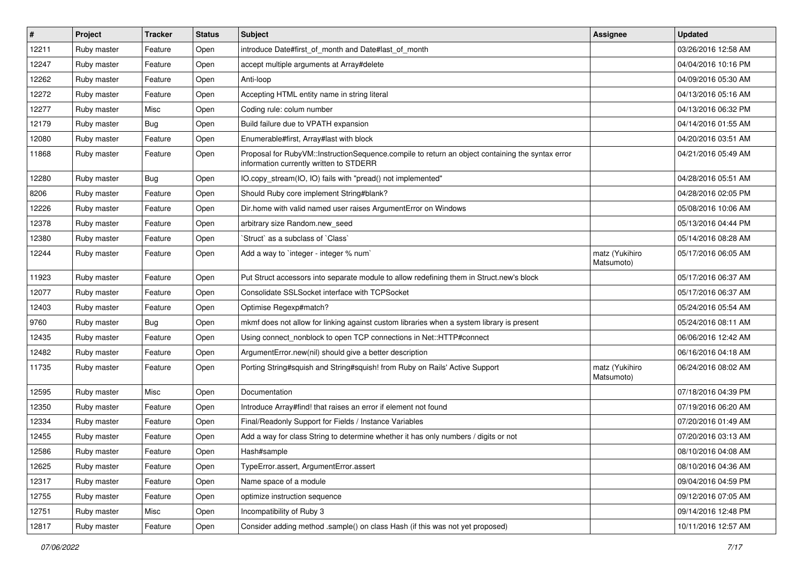| $\sharp$ | Project     | <b>Tracker</b> | <b>Status</b> | <b>Subject</b>                                                                                                                              | <b>Assignee</b>              | <b>Updated</b>      |
|----------|-------------|----------------|---------------|---------------------------------------------------------------------------------------------------------------------------------------------|------------------------------|---------------------|
| 12211    | Ruby master | Feature        | Open          | introduce Date#first_of_month and Date#last_of_month                                                                                        |                              | 03/26/2016 12:58 AM |
| 12247    | Ruby master | Feature        | Open          | accept multiple arguments at Array#delete                                                                                                   |                              | 04/04/2016 10:16 PM |
| 12262    | Ruby master | Feature        | Open          | Anti-loop                                                                                                                                   |                              | 04/09/2016 05:30 AM |
| 12272    | Ruby master | Feature        | Open          | Accepting HTML entity name in string literal                                                                                                |                              | 04/13/2016 05:16 AM |
| 12277    | Ruby master | Misc           | Open          | Coding rule: colum number                                                                                                                   |                              | 04/13/2016 06:32 PM |
| 12179    | Ruby master | <b>Bug</b>     | Open          | Build failure due to VPATH expansion                                                                                                        |                              | 04/14/2016 01:55 AM |
| 12080    | Ruby master | Feature        | Open          | Enumerable#first, Array#last with block                                                                                                     |                              | 04/20/2016 03:51 AM |
| 11868    | Ruby master | Feature        | Open          | Proposal for RubyVM::InstructionSequence.compile to return an object containing the syntax error<br>information currently written to STDERR |                              | 04/21/2016 05:49 AM |
| 12280    | Ruby master | Bug            | Open          | IO.copy_stream(IO, IO) fails with "pread() not implemented"                                                                                 |                              | 04/28/2016 05:51 AM |
| 8206     | Ruby master | Feature        | Open          | Should Ruby core implement String#blank?                                                                                                    |                              | 04/28/2016 02:05 PM |
| 12226    | Ruby master | Feature        | Open          | Dir.home with valid named user raises ArgumentError on Windows                                                                              |                              | 05/08/2016 10:06 AM |
| 12378    | Ruby master | Feature        | Open          | arbitrary size Random.new seed                                                                                                              |                              | 05/13/2016 04:44 PM |
| 12380    | Ruby master | Feature        | Open          | 'Struct' as a subclass of 'Class'                                                                                                           |                              | 05/14/2016 08:28 AM |
| 12244    | Ruby master | Feature        | Open          | Add a way to 'integer - integer % num'                                                                                                      | matz (Yukihiro<br>Matsumoto) | 05/17/2016 06:05 AM |
| 11923    | Ruby master | Feature        | Open          | Put Struct accessors into separate module to allow redefining them in Struct.new's block                                                    |                              | 05/17/2016 06:37 AM |
| 12077    | Ruby master | Feature        | Open          | Consolidate SSLSocket interface with TCPSocket                                                                                              |                              | 05/17/2016 06:37 AM |
| 12403    | Ruby master | Feature        | Open          | Optimise Regexp#match?                                                                                                                      |                              | 05/24/2016 05:54 AM |
| 9760     | Ruby master | <b>Bug</b>     | Open          | mkmf does not allow for linking against custom libraries when a system library is present                                                   |                              | 05/24/2016 08:11 AM |
| 12435    | Ruby master | Feature        | Open          | Using connect_nonblock to open TCP connections in Net::HTTP#connect                                                                         |                              | 06/06/2016 12:42 AM |
| 12482    | Ruby master | Feature        | Open          | ArgumentError.new(nil) should give a better description                                                                                     |                              | 06/16/2016 04:18 AM |
| 11735    | Ruby master | Feature        | Open          | Porting String#squish and String#squish! from Ruby on Rails' Active Support                                                                 | matz (Yukihiro<br>Matsumoto) | 06/24/2016 08:02 AM |
| 12595    | Ruby master | Misc           | Open          | Documentation                                                                                                                               |                              | 07/18/2016 04:39 PM |
| 12350    | Ruby master | Feature        | Open          | Introduce Array#find! that raises an error if element not found                                                                             |                              | 07/19/2016 06:20 AM |
| 12334    | Ruby master | Feature        | Open          | Final/Readonly Support for Fields / Instance Variables                                                                                      |                              | 07/20/2016 01:49 AM |
| 12455    | Ruby master | Feature        | Open          | Add a way for class String to determine whether it has only numbers / digits or not                                                         |                              | 07/20/2016 03:13 AM |
| 12586    | Ruby master | Feature        | Open          | Hash#sample                                                                                                                                 |                              | 08/10/2016 04:08 AM |
| 12625    | Ruby master | Feature        | Open          | TypeError.assert, ArgumentError.assert                                                                                                      |                              | 08/10/2016 04:36 AM |
| 12317    | Ruby master | Feature        | Open          | Name space of a module                                                                                                                      |                              | 09/04/2016 04:59 PM |
| 12755    | Ruby master | Feature        | Open          | optimize instruction sequence                                                                                                               |                              | 09/12/2016 07:05 AM |
| 12751    | Ruby master | Misc           | Open          | Incompatibility of Ruby 3                                                                                                                   |                              | 09/14/2016 12:48 PM |
| 12817    | Ruby master | Feature        | Open          | Consider adding method .sample() on class Hash (if this was not yet proposed)                                                               |                              | 10/11/2016 12:57 AM |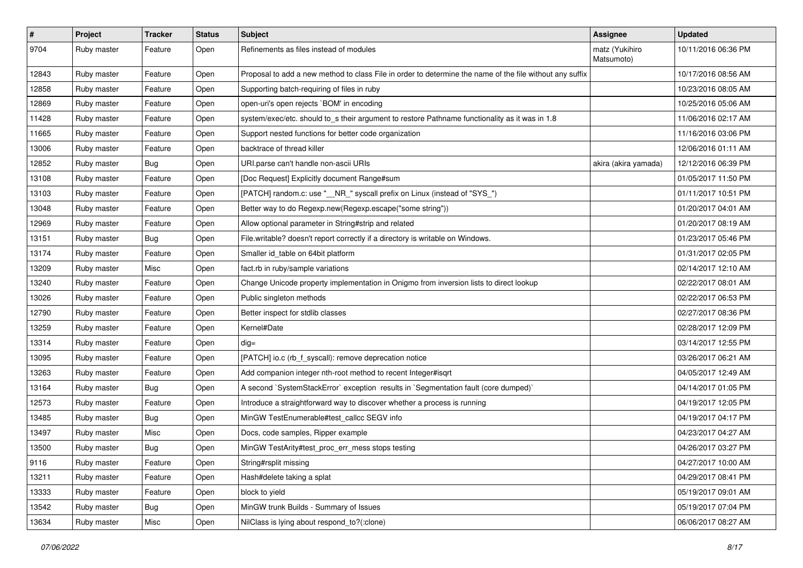| #     | Project     | <b>Tracker</b> | <b>Status</b> | <b>Subject</b>                                                                                           | <b>Assignee</b>              | <b>Updated</b>      |
|-------|-------------|----------------|---------------|----------------------------------------------------------------------------------------------------------|------------------------------|---------------------|
| 9704  | Ruby master | Feature        | Open          | Refinements as files instead of modules                                                                  | matz (Yukihiro<br>Matsumoto) | 10/11/2016 06:36 PM |
| 12843 | Ruby master | Feature        | Open          | Proposal to add a new method to class File in order to determine the name of the file without any suffix |                              | 10/17/2016 08:56 AM |
| 12858 | Ruby master | Feature        | Open          | Supporting batch-requiring of files in ruby                                                              |                              | 10/23/2016 08:05 AM |
| 12869 | Ruby master | Feature        | Open          | open-uri's open rejects `BOM' in encoding                                                                |                              | 10/25/2016 05:06 AM |
| 11428 | Ruby master | Feature        | Open          | system/exec/etc. should to_s their argument to restore Pathname functionality as it was in 1.8           |                              | 11/06/2016 02:17 AM |
| 11665 | Ruby master | Feature        | Open          | Support nested functions for better code organization                                                    |                              | 11/16/2016 03:06 PM |
| 13006 | Ruby master | Feature        | Open          | backtrace of thread killer                                                                               |                              | 12/06/2016 01:11 AM |
| 12852 | Ruby master | <b>Bug</b>     | Open          | URI.parse can't handle non-ascii URIs                                                                    | akira (akira yamada)         | 12/12/2016 06:39 PM |
| 13108 | Ruby master | Feature        | Open          | [Doc Request] Explicitly document Range#sum                                                              |                              | 01/05/2017 11:50 PM |
| 13103 | Ruby master | Feature        | Open          | [PATCH] random.c: use "__NR_" syscall prefix on Linux (instead of "SYS_")                                |                              | 01/11/2017 10:51 PM |
| 13048 | Ruby master | Feature        | Open          | Better way to do Regexp.new(Regexp.escape("some string"))                                                |                              | 01/20/2017 04:01 AM |
| 12969 | Ruby master | Feature        | Open          | Allow optional parameter in String#strip and related                                                     |                              | 01/20/2017 08:19 AM |
| 13151 | Ruby master | <b>Bug</b>     | Open          | File.writable? doesn't report correctly if a directory is writable on Windows.                           |                              | 01/23/2017 05:46 PM |
| 13174 | Ruby master | Feature        | Open          | Smaller id_table on 64bit platform                                                                       |                              | 01/31/2017 02:05 PM |
| 13209 | Ruby master | Misc           | Open          | fact.rb in ruby/sample variations                                                                        |                              | 02/14/2017 12:10 AM |
| 13240 | Ruby master | Feature        | Open          | Change Unicode property implementation in Onigmo from inversion lists to direct lookup                   |                              | 02/22/2017 08:01 AM |
| 13026 | Ruby master | Feature        | Open          | Public singleton methods                                                                                 |                              | 02/22/2017 06:53 PM |
| 12790 | Ruby master | Feature        | Open          | Better inspect for stdlib classes                                                                        |                              | 02/27/2017 08:36 PM |
| 13259 | Ruby master | Feature        | Open          | Kernel#Date                                                                                              |                              | 02/28/2017 12:09 PM |
| 13314 | Ruby master | Feature        | Open          | $dig =$                                                                                                  |                              | 03/14/2017 12:55 PM |
| 13095 | Ruby master | Feature        | Open          | [PATCH] io.c (rb_f_syscall): remove deprecation notice                                                   |                              | 03/26/2017 06:21 AM |
| 13263 | Ruby master | Feature        | Open          | Add companion integer nth-root method to recent Integer#isqrt                                            |                              | 04/05/2017 12:49 AM |
| 13164 | Ruby master | <b>Bug</b>     | Open          | A second `SystemStackError` exception results in `Segmentation fault (core dumped)`                      |                              | 04/14/2017 01:05 PM |
| 12573 | Ruby master | Feature        | Open          | Introduce a straightforward way to discover whether a process is running                                 |                              | 04/19/2017 12:05 PM |
| 13485 | Ruby master | <b>Bug</b>     | Open          | MinGW TestEnumerable#test_callcc SEGV info                                                               |                              | 04/19/2017 04:17 PM |
| 13497 | Ruby master | Misc           | Open          | Docs, code samples, Ripper example                                                                       |                              | 04/23/2017 04:27 AM |
| 13500 | Ruby master | <b>Bug</b>     | Open          | MinGW TestArity#test_proc_err_mess stops testing                                                         |                              | 04/26/2017 03:27 PM |
| 9116  | Ruby master | Feature        | Open          | String#rsplit missing                                                                                    |                              | 04/27/2017 10:00 AM |
| 13211 | Ruby master | Feature        | Open          | Hash#delete taking a splat                                                                               |                              | 04/29/2017 08:41 PM |
| 13333 | Ruby master | Feature        | Open          | block to yield                                                                                           |                              | 05/19/2017 09:01 AM |
| 13542 | Ruby master | <b>Bug</b>     | Open          | MinGW trunk Builds - Summary of Issues                                                                   |                              | 05/19/2017 07:04 PM |
| 13634 | Ruby master | Misc           | Open          | NilClass is lying about respond_to?(:clone)                                                              |                              | 06/06/2017 08:27 AM |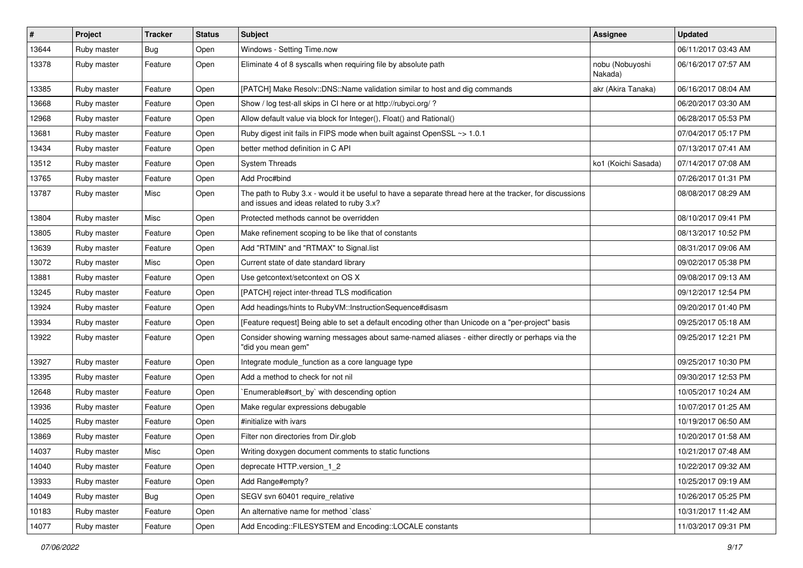| #     | Project     | <b>Tracker</b> | <b>Status</b> | Subject                                                                                                                                               | <b>Assignee</b>            | <b>Updated</b>      |
|-------|-------------|----------------|---------------|-------------------------------------------------------------------------------------------------------------------------------------------------------|----------------------------|---------------------|
| 13644 | Ruby master | <b>Bug</b>     | Open          | Windows - Setting Time.now                                                                                                                            |                            | 06/11/2017 03:43 AM |
| 13378 | Ruby master | Feature        | Open          | Eliminate 4 of 8 syscalls when requiring file by absolute path                                                                                        | nobu (Nobuyoshi<br>Nakada) | 06/16/2017 07:57 AM |
| 13385 | Ruby master | Feature        | Open          | [PATCH] Make Resolv::DNS::Name validation similar to host and dig commands                                                                            | akr (Akira Tanaka)         | 06/16/2017 08:04 AM |
| 13668 | Ruby master | Feature        | Open          | Show / log test-all skips in CI here or at http://rubyci.org/ ?                                                                                       |                            | 06/20/2017 03:30 AM |
| 12968 | Ruby master | Feature        | Open          | Allow default value via block for Integer(), Float() and Rational()                                                                                   |                            | 06/28/2017 05:53 PM |
| 13681 | Ruby master | Feature        | Open          | Ruby digest init fails in FIPS mode when built against OpenSSL ~> 1.0.1                                                                               |                            | 07/04/2017 05:17 PM |
| 13434 | Ruby master | Feature        | Open          | better method definition in C API                                                                                                                     |                            | 07/13/2017 07:41 AM |
| 13512 | Ruby master | Feature        | Open          | <b>System Threads</b>                                                                                                                                 | ko1 (Koichi Sasada)        | 07/14/2017 07:08 AM |
| 13765 | Ruby master | Feature        | Open          | Add Proc#bind                                                                                                                                         |                            | 07/26/2017 01:31 PM |
| 13787 | Ruby master | Misc           | Open          | The path to Ruby 3.x - would it be useful to have a separate thread here at the tracker, for discussions<br>and issues and ideas related to ruby 3.x? |                            | 08/08/2017 08:29 AM |
| 13804 | Ruby master | Misc           | Open          | Protected methods cannot be overridden                                                                                                                |                            | 08/10/2017 09:41 PM |
| 13805 | Ruby master | Feature        | Open          | Make refinement scoping to be like that of constants                                                                                                  |                            | 08/13/2017 10:52 PM |
| 13639 | Ruby master | Feature        | Open          | Add "RTMIN" and "RTMAX" to Signal.list                                                                                                                |                            | 08/31/2017 09:06 AM |
| 13072 | Ruby master | Misc           | Open          | Current state of date standard library                                                                                                                |                            | 09/02/2017 05:38 PM |
| 13881 | Ruby master | Feature        | Open          | Use getcontext/setcontext on OS X                                                                                                                     |                            | 09/08/2017 09:13 AM |
| 13245 | Ruby master | Feature        | Open          | [PATCH] reject inter-thread TLS modification                                                                                                          |                            | 09/12/2017 12:54 PM |
| 13924 | Ruby master | Feature        | Open          | Add headings/hints to RubyVM::InstructionSequence#disasm                                                                                              |                            | 09/20/2017 01:40 PM |
| 13934 | Ruby master | Feature        | Open          | [Feature request] Being able to set a default encoding other than Unicode on a "per-project" basis                                                    |                            | 09/25/2017 05:18 AM |
| 13922 | Ruby master | Feature        | Open          | Consider showing warning messages about same-named aliases - either directly or perhaps via the<br>"did you mean gem"                                 |                            | 09/25/2017 12:21 PM |
| 13927 | Ruby master | Feature        | Open          | Integrate module_function as a core language type                                                                                                     |                            | 09/25/2017 10:30 PM |
| 13395 | Ruby master | Feature        | Open          | Add a method to check for not nil                                                                                                                     |                            | 09/30/2017 12:53 PM |
| 12648 | Ruby master | Feature        | Open          | `Enumerable#sort_by` with descending option                                                                                                           |                            | 10/05/2017 10:24 AM |
| 13936 | Ruby master | Feature        | Open          | Make regular expressions debugable                                                                                                                    |                            | 10/07/2017 01:25 AM |
| 14025 | Ruby master | Feature        | Open          | #initialize with ivars                                                                                                                                |                            | 10/19/2017 06:50 AM |
| 13869 | Ruby master | Feature        | Open          | Filter non directories from Dir.glob                                                                                                                  |                            | 10/20/2017 01:58 AM |
| 14037 | Ruby master | Misc           | Open          | Writing doxygen document comments to static functions                                                                                                 |                            | 10/21/2017 07:48 AM |
| 14040 | Ruby master | Feature        | Open          | deprecate HTTP.version 1 2                                                                                                                            |                            | 10/22/2017 09:32 AM |
| 13933 | Ruby master | Feature        | Open          | Add Range#empty?                                                                                                                                      |                            | 10/25/2017 09:19 AM |
| 14049 | Ruby master | Bug            | Open          | SEGV svn 60401 require_relative                                                                                                                       |                            | 10/26/2017 05:25 PM |
| 10183 | Ruby master | Feature        | Open          | An alternative name for method `class`                                                                                                                |                            | 10/31/2017 11:42 AM |
| 14077 | Ruby master | Feature        | Open          | Add Encoding::FILESYSTEM and Encoding::LOCALE constants                                                                                               |                            | 11/03/2017 09:31 PM |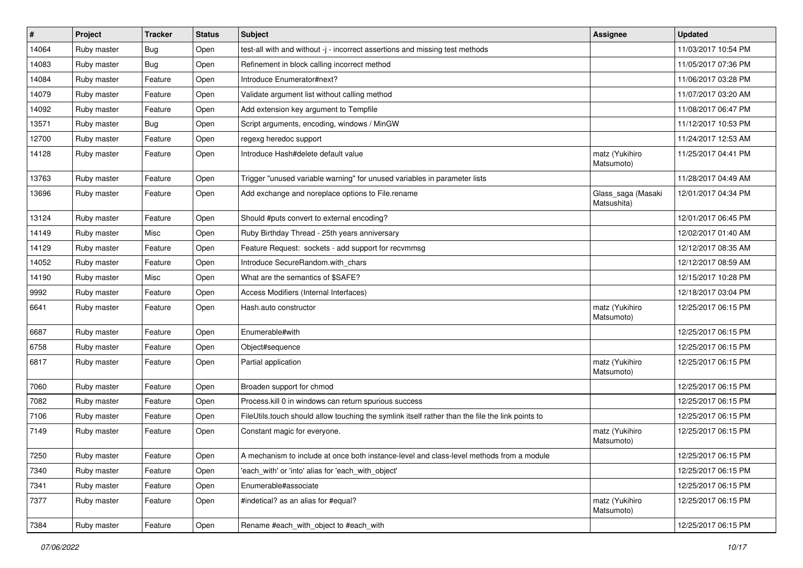| $\vert$ # | Project     | <b>Tracker</b> | <b>Status</b> | <b>Subject</b>                                                                                   | Assignee                          | <b>Updated</b>      |
|-----------|-------------|----------------|---------------|--------------------------------------------------------------------------------------------------|-----------------------------------|---------------------|
| 14064     | Ruby master | <b>Bug</b>     | Open          | test-all with and without -j - incorrect assertions and missing test methods                     |                                   | 11/03/2017 10:54 PM |
| 14083     | Ruby master | Bug            | Open          | Refinement in block calling incorrect method                                                     |                                   | 11/05/2017 07:36 PM |
| 14084     | Ruby master | Feature        | Open          | Introduce Enumerator#next?                                                                       |                                   | 11/06/2017 03:28 PM |
| 14079     | Ruby master | Feature        | Open          | Validate argument list without calling method                                                    |                                   | 11/07/2017 03:20 AM |
| 14092     | Ruby master | Feature        | Open          | Add extension key argument to Tempfile                                                           |                                   | 11/08/2017 06:47 PM |
| 13571     | Ruby master | <b>Bug</b>     | Open          | Script arguments, encoding, windows / MinGW                                                      |                                   | 11/12/2017 10:53 PM |
| 12700     | Ruby master | Feature        | Open          | regexg heredoc support                                                                           |                                   | 11/24/2017 12:53 AM |
| 14128     | Ruby master | Feature        | Open          | Introduce Hash#delete default value                                                              | matz (Yukihiro<br>Matsumoto)      | 11/25/2017 04:41 PM |
| 13763     | Ruby master | Feature        | Open          | Trigger "unused variable warning" for unused variables in parameter lists                        |                                   | 11/28/2017 04:49 AM |
| 13696     | Ruby master | Feature        | Open          | Add exchange and noreplace options to File.rename                                                | Glass_saga (Masaki<br>Matsushita) | 12/01/2017 04:34 PM |
| 13124     | Ruby master | Feature        | Open          | Should #puts convert to external encoding?                                                       |                                   | 12/01/2017 06:45 PM |
| 14149     | Ruby master | Misc           | Open          | Ruby Birthday Thread - 25th years anniversary                                                    |                                   | 12/02/2017 01:40 AM |
| 14129     | Ruby master | Feature        | Open          | Feature Request: sockets - add support for recvmmsg                                              |                                   | 12/12/2017 08:35 AM |
| 14052     | Ruby master | Feature        | Open          | Introduce SecureRandom.with chars                                                                |                                   | 12/12/2017 08:59 AM |
| 14190     | Ruby master | Misc           | Open          | What are the semantics of \$SAFE?                                                                |                                   | 12/15/2017 10:28 PM |
| 9992      | Ruby master | Feature        | Open          | Access Modifiers (Internal Interfaces)                                                           |                                   | 12/18/2017 03:04 PM |
| 6641      | Ruby master | Feature        | Open          | Hash.auto constructor                                                                            | matz (Yukihiro<br>Matsumoto)      | 12/25/2017 06:15 PM |
| 6687      | Ruby master | Feature        | Open          | Enumerable#with                                                                                  |                                   | 12/25/2017 06:15 PM |
| 6758      | Ruby master | Feature        | Open          | Object#sequence                                                                                  |                                   | 12/25/2017 06:15 PM |
| 6817      | Ruby master | Feature        | Open          | Partial application                                                                              | matz (Yukihiro<br>Matsumoto)      | 12/25/2017 06:15 PM |
| 7060      | Ruby master | Feature        | Open          | Broaden support for chmod                                                                        |                                   | 12/25/2017 06:15 PM |
| 7082      | Ruby master | Feature        | Open          | Process.kill 0 in windows can return spurious success                                            |                                   | 12/25/2017 06:15 PM |
| 7106      | Ruby master | Feature        | Open          | FileUtils.touch should allow touching the symlink itself rather than the file the link points to |                                   | 12/25/2017 06:15 PM |
| 7149      | Ruby master | Feature        | Open          | Constant magic for everyone.                                                                     | matz (Yukihiro<br>Matsumoto)      | 12/25/2017 06:15 PM |
| 7250      | Ruby master | Feature        | Open          | A mechanism to include at once both instance-level and class-level methods from a module         |                                   | 12/25/2017 06:15 PM |
| 7340      | Ruby master | Feature        | Open          | 'each with' or 'into' alias for 'each with object'                                               |                                   | 12/25/2017 06:15 PM |
| 7341      | Ruby master | Feature        | Open          | Enumerable#associate                                                                             |                                   | 12/25/2017 06:15 PM |
| 7377      | Ruby master | Feature        | Open          | #indetical? as an alias for #equal?                                                              | matz (Yukihiro<br>Matsumoto)      | 12/25/2017 06:15 PM |
| 7384      | Ruby master | Feature        | Open          | Rename #each with object to #each with                                                           |                                   | 12/25/2017 06:15 PM |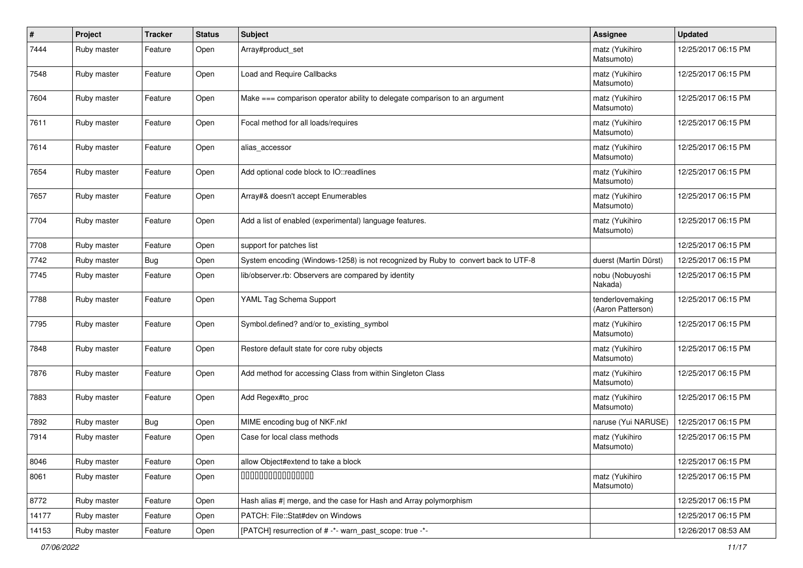| #     | Project     | <b>Tracker</b> | <b>Status</b> | <b>Subject</b>                                                                    | <b>Assignee</b>                       | <b>Updated</b>      |
|-------|-------------|----------------|---------------|-----------------------------------------------------------------------------------|---------------------------------------|---------------------|
| 7444  | Ruby master | Feature        | Open          | Array#product_set                                                                 | matz (Yukihiro<br>Matsumoto)          | 12/25/2017 06:15 PM |
| 7548  | Ruby master | Feature        | Open          | Load and Require Callbacks                                                        | matz (Yukihiro<br>Matsumoto)          | 12/25/2017 06:15 PM |
| 7604  | Ruby master | Feature        | Open          | Make === comparison operator ability to delegate comparison to an argument        | matz (Yukihiro<br>Matsumoto)          | 12/25/2017 06:15 PM |
| 7611  | Ruby master | Feature        | Open          | Focal method for all loads/requires                                               | matz (Yukihiro<br>Matsumoto)          | 12/25/2017 06:15 PM |
| 7614  | Ruby master | Feature        | Open          | alias_accessor                                                                    | matz (Yukihiro<br>Matsumoto)          | 12/25/2017 06:15 PM |
| 7654  | Ruby master | Feature        | Open          | Add optional code block to IO::readlines                                          | matz (Yukihiro<br>Matsumoto)          | 12/25/2017 06:15 PM |
| 7657  | Ruby master | Feature        | Open          | Array#& doesn't accept Enumerables                                                | matz (Yukihiro<br>Matsumoto)          | 12/25/2017 06:15 PM |
| 7704  | Ruby master | Feature        | Open          | Add a list of enabled (experimental) language features.                           | matz (Yukihiro<br>Matsumoto)          | 12/25/2017 06:15 PM |
| 7708  | Ruby master | Feature        | Open          | support for patches list                                                          |                                       | 12/25/2017 06:15 PM |
| 7742  | Ruby master | <b>Bug</b>     | Open          | System encoding (Windows-1258) is not recognized by Ruby to convert back to UTF-8 | duerst (Martin Dürst)                 | 12/25/2017 06:15 PM |
| 7745  | Ruby master | Feature        | Open          | lib/observer.rb: Observers are compared by identity                               | nobu (Nobuyoshi<br>Nakada)            | 12/25/2017 06:15 PM |
| 7788  | Ruby master | Feature        | Open          | YAML Tag Schema Support                                                           | tenderlovemaking<br>(Aaron Patterson) | 12/25/2017 06:15 PM |
| 7795  | Ruby master | Feature        | Open          | Symbol.defined? and/or to_existing_symbol                                         | matz (Yukihiro<br>Matsumoto)          | 12/25/2017 06:15 PM |
| 7848  | Ruby master | Feature        | Open          | Restore default state for core ruby objects                                       | matz (Yukihiro<br>Matsumoto)          | 12/25/2017 06:15 PM |
| 7876  | Ruby master | Feature        | Open          | Add method for accessing Class from within Singleton Class                        | matz (Yukihiro<br>Matsumoto)          | 12/25/2017 06:15 PM |
| 7883  | Ruby master | Feature        | Open          | Add Regex#to_proc                                                                 | matz (Yukihiro<br>Matsumoto)          | 12/25/2017 06:15 PM |
| 7892  | Ruby master | <b>Bug</b>     | Open          | MIME encoding bug of NKF.nkf                                                      | naruse (Yui NARUSE)                   | 12/25/2017 06:15 PM |
| 7914  | Ruby master | Feature        | Open          | Case for local class methods                                                      | matz (Yukihiro<br>Matsumoto)          | 12/25/2017 06:15 PM |
| 8046  | Ruby master | Feature        | Open          | allow Object#extend to take a block                                               |                                       | 12/25/2017 06:15 PM |
| 8061  | Ruby master | Feature        | Open          | 000000000000000                                                                   | matz (Yukihiro<br>Matsumoto)          | 12/25/2017 06:15 PM |
| 8772  | Ruby master | Feature        | Open          | Hash alias #  merge, and the case for Hash and Array polymorphism                 |                                       | 12/25/2017 06:15 PM |
| 14177 | Ruby master | Feature        | Open          | PATCH: File::Stat#dev on Windows                                                  |                                       | 12/25/2017 06:15 PM |
| 14153 | Ruby master | Feature        | Open          | [PATCH] resurrection of # -*- warn_past_scope: true -*-                           |                                       | 12/26/2017 08:53 AM |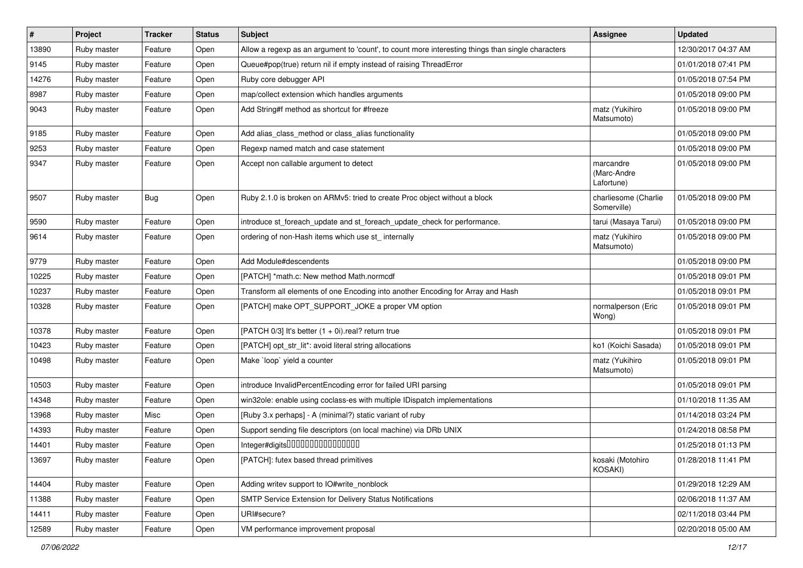| $\vert$ # | Project     | <b>Tracker</b> | <b>Status</b> | <b>Subject</b>                                                                                    | <b>Assignee</b>                        | <b>Updated</b>      |
|-----------|-------------|----------------|---------------|---------------------------------------------------------------------------------------------------|----------------------------------------|---------------------|
| 13890     | Ruby master | Feature        | Open          | Allow a regexp as an argument to 'count', to count more interesting things than single characters |                                        | 12/30/2017 04:37 AM |
| 9145      | Ruby master | Feature        | Open          | Queue#pop(true) return nil if empty instead of raising ThreadError                                |                                        | 01/01/2018 07:41 PM |
| 14276     | Ruby master | Feature        | Open          | Ruby core debugger API                                                                            |                                        | 01/05/2018 07:54 PM |
| 8987      | Ruby master | Feature        | Open          | map/collect extension which handles arguments                                                     |                                        | 01/05/2018 09:00 PM |
| 9043      | Ruby master | Feature        | Open          | Add String#f method as shortcut for #freeze                                                       | matz (Yukihiro<br>Matsumoto)           | 01/05/2018 09:00 PM |
| 9185      | Ruby master | Feature        | Open          | Add alias_class_method or class_alias functionality                                               |                                        | 01/05/2018 09:00 PM |
| 9253      | Ruby master | Feature        | Open          | Regexp named match and case statement                                                             |                                        | 01/05/2018 09:00 PM |
| 9347      | Ruby master | Feature        | Open          | Accept non callable argument to detect                                                            | marcandre<br>(Marc-Andre<br>Lafortune) | 01/05/2018 09:00 PM |
| 9507      | Ruby master | <b>Bug</b>     | Open          | Ruby 2.1.0 is broken on ARMv5: tried to create Proc object without a block                        | charliesome (Charlie<br>Somerville)    | 01/05/2018 09:00 PM |
| 9590      | Ruby master | Feature        | Open          | introduce st foreach update and st foreach update check for performance.                          | tarui (Masaya Tarui)                   | 01/05/2018 09:00 PM |
| 9614      | Ruby master | Feature        | Open          | ordering of non-Hash items which use st_ internally                                               | matz (Yukihiro<br>Matsumoto)           | 01/05/2018 09:00 PM |
| 9779      | Ruby master | Feature        | Open          | Add Module#descendents                                                                            |                                        | 01/05/2018 09:00 PM |
| 10225     | Ruby master | Feature        | Open          | [PATCH] *math.c: New method Math.normcdf                                                          |                                        | 01/05/2018 09:01 PM |
| 10237     | Ruby master | Feature        | Open          | Transform all elements of one Encoding into another Encoding for Array and Hash                   |                                        | 01/05/2018 09:01 PM |
| 10328     | Ruby master | Feature        | Open          | [PATCH] make OPT_SUPPORT_JOKE a proper VM option                                                  | normalperson (Eric<br>Wong)            | 01/05/2018 09:01 PM |
| 10378     | Ruby master | Feature        | Open          | [PATCH 0/3] It's better $(1 + 0i)$ real? return true                                              |                                        | 01/05/2018 09:01 PM |
| 10423     | Ruby master | Feature        | Open          | [PATCH] opt_str_lit*: avoid literal string allocations                                            | ko1 (Koichi Sasada)                    | 01/05/2018 09:01 PM |
| 10498     | Ruby master | Feature        | Open          | Make `loop` yield a counter                                                                       | matz (Yukihiro<br>Matsumoto)           | 01/05/2018 09:01 PM |
| 10503     | Ruby master | Feature        | Open          | introduce InvalidPercentEncoding error for failed URI parsing                                     |                                        | 01/05/2018 09:01 PM |
| 14348     | Ruby master | Feature        | Open          | win32ole: enable using coclass-es with multiple IDispatch implementations                         |                                        | 01/10/2018 11:35 AM |
| 13968     | Ruby master | Misc           | Open          | [Ruby 3.x perhaps] - A (minimal?) static variant of ruby                                          |                                        | 01/14/2018 03:24 PM |
| 14393     | Ruby master | Feature        | Open          | Support sending file descriptors (on local machine) via DRb UNIX                                  |                                        | 01/24/2018 08:58 PM |
| 14401     | Ruby master | Feature        | Open          | Integer#digits000000000000000                                                                     |                                        | 01/25/2018 01:13 PM |
| 13697     | Ruby master | Feature        | Open          | [PATCH]: futex based thread primitives                                                            | kosaki (Motohiro<br>KOSAKI)            | 01/28/2018 11:41 PM |
| 14404     | Ruby master | Feature        | Open          | Adding writev support to IO#write_nonblock                                                        |                                        | 01/29/2018 12:29 AM |
| 11388     | Ruby master | Feature        | Open          | SMTP Service Extension for Delivery Status Notifications                                          |                                        | 02/06/2018 11:37 AM |
| 14411     | Ruby master | Feature        | Open          | URI#secure?                                                                                       |                                        | 02/11/2018 03:44 PM |
| 12589     | Ruby master | Feature        | Open          | VM performance improvement proposal                                                               |                                        | 02/20/2018 05:00 AM |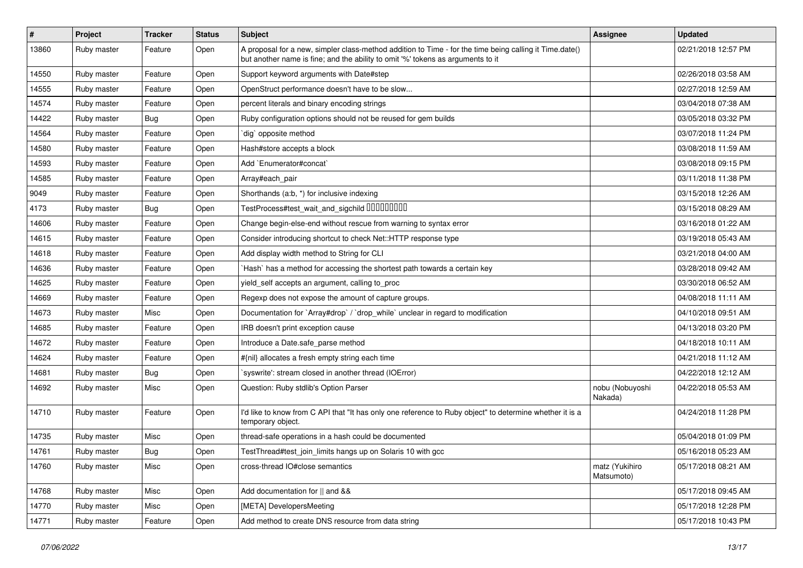| $\vert$ # | Project     | Tracker          | <b>Status</b> | <b>Subject</b>                                                                                                                                                                             | Assignee                     | <b>Updated</b>      |
|-----------|-------------|------------------|---------------|--------------------------------------------------------------------------------------------------------------------------------------------------------------------------------------------|------------------------------|---------------------|
| 13860     | Ruby master | Feature          | Open          | A proposal for a new, simpler class-method addition to Time - for the time being calling it Time.date()<br>but another name is fine; and the ability to omit '%' tokens as arguments to it |                              | 02/21/2018 12:57 PM |
| 14550     | Ruby master | Feature          | Open          | Support keyword arguments with Date#step                                                                                                                                                   |                              | 02/26/2018 03:58 AM |
| 14555     | Ruby master | Feature          | Open          | OpenStruct performance doesn't have to be slow                                                                                                                                             |                              | 02/27/2018 12:59 AM |
| 14574     | Ruby master | Feature          | Open          | percent literals and binary encoding strings                                                                                                                                               |                              | 03/04/2018 07:38 AM |
| 14422     | Ruby master | <b>Bug</b>       | Open          | Ruby configuration options should not be reused for gem builds                                                                                                                             |                              | 03/05/2018 03:32 PM |
| 14564     | Ruby master | Feature          | Open          | dig` opposite method                                                                                                                                                                       |                              | 03/07/2018 11:24 PM |
| 14580     | Ruby master | Feature          | Open          | Hash#store accepts a block                                                                                                                                                                 |                              | 03/08/2018 11:59 AM |
| 14593     | Ruby master | Feature          | Open          | Add `Enumerator#concat`                                                                                                                                                                    |                              | 03/08/2018 09:15 PM |
| 14585     | Ruby master | Feature          | Open          | Array#each_pair                                                                                                                                                                            |                              | 03/11/2018 11:38 PM |
| 9049      | Ruby master | Feature          | Open          | Shorthands (a.b, *) for inclusive indexing                                                                                                                                                 |                              | 03/15/2018 12:26 AM |
| 4173      | Ruby master | <b>Bug</b>       | Open          | TestProcess#test_wait_and_sigchild 00000000                                                                                                                                                |                              | 03/15/2018 08:29 AM |
| 14606     | Ruby master | Feature          | Open          | Change begin-else-end without rescue from warning to syntax error                                                                                                                          |                              | 03/16/2018 01:22 AM |
| 14615     | Ruby master | Feature          | Open          | Consider introducing shortcut to check Net::HTTP response type                                                                                                                             |                              | 03/19/2018 05:43 AM |
| 14618     | Ruby master | Feature          | Open          | Add display width method to String for CLI                                                                                                                                                 |                              | 03/21/2018 04:00 AM |
| 14636     | Ruby master | Feature          | Open          | Hash` has a method for accessing the shortest path towards a certain key                                                                                                                   |                              | 03/28/2018 09:42 AM |
| 14625     | Ruby master | Feature          | Open          | yield_self accepts an argument, calling to_proc                                                                                                                                            |                              | 03/30/2018 06:52 AM |
| 14669     | Ruby master | Feature          | Open          | Regexp does not expose the amount of capture groups.                                                                                                                                       |                              | 04/08/2018 11:11 AM |
| 14673     | Ruby master | Misc             | Open          | Documentation for `Array#drop` / `drop while` unclear in regard to modification                                                                                                            |                              | 04/10/2018 09:51 AM |
| 14685     | Ruby master | Feature          | Open          | IRB doesn't print exception cause                                                                                                                                                          |                              | 04/13/2018 03:20 PM |
| 14672     | Ruby master | Feature          | Open          | Introduce a Date.safe parse method                                                                                                                                                         |                              | 04/18/2018 10:11 AM |
| 14624     | Ruby master | Feature          | Open          | #{nil} allocates a fresh empty string each time                                                                                                                                            |                              | 04/21/2018 11:12 AM |
| 14681     | Ruby master | <b>Bug</b>       | Open          | 'syswrite': stream closed in another thread (IOError)                                                                                                                                      |                              | 04/22/2018 12:12 AM |
| 14692     | Ruby master | Misc             | Open          | Question: Ruby stdlib's Option Parser                                                                                                                                                      | nobu (Nobuyoshi<br>Nakada)   | 04/22/2018 05:53 AM |
| 14710     | Ruby master | Feature          | Open          | I'd like to know from C API that "It has only one reference to Ruby object" to determine whether it is a<br>temporary object.                                                              |                              | 04/24/2018 11:28 PM |
| 14735     | Ruby master | Misc             | Open          | thread-safe operations in a hash could be documented                                                                                                                                       |                              | 05/04/2018 01:09 PM |
| 14761     | Ruby master | <sub>i</sub> Bug | Open          | TestThread#test_join_limits hangs up on Solaris 10 with gcc                                                                                                                                |                              | 05/16/2018 05:23 AM |
| 14760     | Ruby master | Misc             | Open          | cross-thread IO#close semantics                                                                                                                                                            | matz (Yukihiro<br>Matsumoto) | 05/17/2018 08:21 AM |
| 14768     | Ruby master | Misc             | Open          | Add documentation for    and &&                                                                                                                                                            |                              | 05/17/2018 09:45 AM |
| 14770     | Ruby master | Misc             | Open          | [META] DevelopersMeeting                                                                                                                                                                   |                              | 05/17/2018 12:28 PM |
| 14771     | Ruby master | Feature          | Open          | Add method to create DNS resource from data string                                                                                                                                         |                              | 05/17/2018 10:43 PM |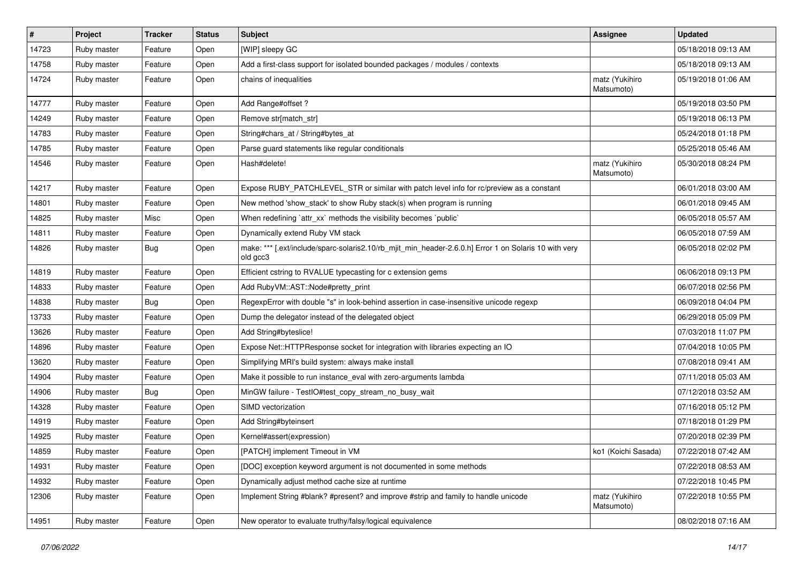| $\vert$ # | Project     | <b>Tracker</b> | <b>Status</b> | <b>Subject</b>                                                                                                    | Assignee                     | <b>Updated</b>      |
|-----------|-------------|----------------|---------------|-------------------------------------------------------------------------------------------------------------------|------------------------------|---------------------|
| 14723     | Ruby master | Feature        | Open          | [WIP] sleepy GC                                                                                                   |                              | 05/18/2018 09:13 AM |
| 14758     | Ruby master | Feature        | Open          | Add a first-class support for isolated bounded packages / modules / contexts                                      |                              | 05/18/2018 09:13 AM |
| 14724     | Ruby master | Feature        | Open          | chains of inequalities                                                                                            | matz (Yukihiro<br>Matsumoto) | 05/19/2018 01:06 AM |
| 14777     | Ruby master | Feature        | Open          | Add Range#offset?                                                                                                 |                              | 05/19/2018 03:50 PM |
| 14249     | Ruby master | Feature        | Open          | Remove str[match_str]                                                                                             |                              | 05/19/2018 06:13 PM |
| 14783     | Ruby master | Feature        | Open          | String#chars_at / String#bytes_at                                                                                 |                              | 05/24/2018 01:18 PM |
| 14785     | Ruby master | Feature        | Open          | Parse guard statements like regular conditionals                                                                  |                              | 05/25/2018 05:46 AM |
| 14546     | Ruby master | Feature        | Open          | Hash#delete!                                                                                                      | matz (Yukihiro<br>Matsumoto) | 05/30/2018 08:24 PM |
| 14217     | Ruby master | Feature        | Open          | Expose RUBY_PATCHLEVEL_STR or similar with patch level info for rc/preview as a constant                          |                              | 06/01/2018 03:00 AM |
| 14801     | Ruby master | Feature        | Open          | New method 'show_stack' to show Ruby stack(s) when program is running                                             |                              | 06/01/2018 09:45 AM |
| 14825     | Ruby master | Misc           | Open          | When redefining 'attr_xx' methods the visibility becomes 'public'                                                 |                              | 06/05/2018 05:57 AM |
| 14811     | Ruby master | Feature        | Open          | Dynamically extend Ruby VM stack                                                                                  |                              | 06/05/2018 07:59 AM |
| 14826     | Ruby master | <b>Bug</b>     | Open          | make: *** [.ext/include/sparc-solaris2.10/rb_mjit_min_header-2.6.0.h] Error 1 on Solaris 10 with very<br>old gcc3 |                              | 06/05/2018 02:02 PM |
| 14819     | Ruby master | Feature        | Open          | Efficient cstring to RVALUE typecasting for c extension gems                                                      |                              | 06/06/2018 09:13 PM |
| 14833     | Ruby master | Feature        | Open          | Add RubyVM::AST::Node#pretty_print                                                                                |                              | 06/07/2018 02:56 PM |
| 14838     | Ruby master | <b>Bug</b>     | Open          | RegexpError with double "s" in look-behind assertion in case-insensitive unicode regexp                           |                              | 06/09/2018 04:04 PM |
| 13733     | Ruby master | Feature        | Open          | Dump the delegator instead of the delegated object                                                                |                              | 06/29/2018 05:09 PM |
| 13626     | Ruby master | Feature        | Open          | Add String#byteslice!                                                                                             |                              | 07/03/2018 11:07 PM |
| 14896     | Ruby master | Feature        | Open          | Expose Net::HTTPResponse socket for integration with libraries expecting an IO                                    |                              | 07/04/2018 10:05 PM |
| 13620     | Ruby master | Feature        | Open          | Simplifying MRI's build system: always make install                                                               |                              | 07/08/2018 09:41 AM |
| 14904     | Ruby master | Feature        | Open          | Make it possible to run instance_eval with zero-arguments lambda                                                  |                              | 07/11/2018 05:03 AM |
| 14906     | Ruby master | Bug            | Open          | MinGW failure - TestIO#test_copy_stream_no_busy_wait                                                              |                              | 07/12/2018 03:52 AM |
| 14328     | Ruby master | Feature        | Open          | SIMD vectorization                                                                                                |                              | 07/16/2018 05:12 PM |
| 14919     | Ruby master | Feature        | Open          | Add String#byteinsert                                                                                             |                              | 07/18/2018 01:29 PM |
| 14925     | Ruby master | Feature        | Open          | Kernel#assert(expression)                                                                                         |                              | 07/20/2018 02:39 PM |
| 14859     | Ruby master | Feature        | Open          | [PATCH] implement Timeout in VM                                                                                   | ko1 (Koichi Sasada)          | 07/22/2018 07:42 AM |
| 14931     | Ruby master | Feature        | Open          | [DOC] exception keyword argument is not documented in some methods                                                |                              | 07/22/2018 08:53 AM |
| 14932     | Ruby master | Feature        | Open          | Dynamically adjust method cache size at runtime                                                                   |                              | 07/22/2018 10:45 PM |
| 12306     | Ruby master | Feature        | Open          | Implement String #blank? #present? and improve #strip and family to handle unicode                                | matz (Yukihiro<br>Matsumoto) | 07/22/2018 10:55 PM |
| 14951     | Ruby master | Feature        | Open          | New operator to evaluate truthy/falsy/logical equivalence                                                         |                              | 08/02/2018 07:16 AM |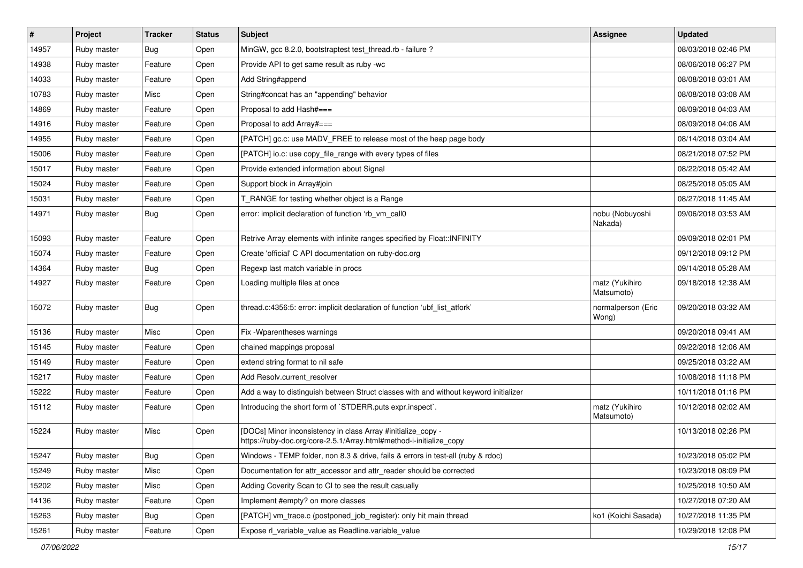| $\vert$ # | Project     | <b>Tracker</b> | <b>Status</b> | <b>Subject</b>                                                                                                                      | <b>Assignee</b>              | <b>Updated</b>      |
|-----------|-------------|----------------|---------------|-------------------------------------------------------------------------------------------------------------------------------------|------------------------------|---------------------|
| 14957     | Ruby master | <b>Bug</b>     | Open          | MinGW, gcc 8.2.0, bootstraptest test_thread.rb - failure ?                                                                          |                              | 08/03/2018 02:46 PM |
| 14938     | Ruby master | Feature        | Open          | Provide API to get same result as ruby -wc                                                                                          |                              | 08/06/2018 06:27 PM |
| 14033     | Ruby master | Feature        | Open          | Add String#append                                                                                                                   |                              | 08/08/2018 03:01 AM |
| 10783     | Ruby master | Misc           | Open          | String#concat has an "appending" behavior                                                                                           |                              | 08/08/2018 03:08 AM |
| 14869     | Ruby master | Feature        | Open          | Proposal to add Hash#===                                                                                                            |                              | 08/09/2018 04:03 AM |
| 14916     | Ruby master | Feature        | Open          | Proposal to add Array#===                                                                                                           |                              | 08/09/2018 04:06 AM |
| 14955     | Ruby master | Feature        | Open          | [PATCH] gc.c: use MADV_FREE to release most of the heap page body                                                                   |                              | 08/14/2018 03:04 AM |
| 15006     | Ruby master | Feature        | Open          | [PATCH] io.c: use copy_file_range with every types of files                                                                         |                              | 08/21/2018 07:52 PM |
| 15017     | Ruby master | Feature        | Open          | Provide extended information about Signal                                                                                           |                              | 08/22/2018 05:42 AM |
| 15024     | Ruby master | Feature        | Open          | Support block in Array#join                                                                                                         |                              | 08/25/2018 05:05 AM |
| 15031     | Ruby master | Feature        | Open          | T_RANGE for testing whether object is a Range                                                                                       |                              | 08/27/2018 11:45 AM |
| 14971     | Ruby master | <b>Bug</b>     | Open          | error: implicit declaration of function 'rb_vm_call0                                                                                | nobu (Nobuyoshi<br>Nakada)   | 09/06/2018 03:53 AM |
| 15093     | Ruby master | Feature        | Open          | Retrive Array elements with infinite ranges specified by Float:: INFINITY                                                           |                              | 09/09/2018 02:01 PM |
| 15074     | Ruby master | Feature        | Open          | Create 'official' C API documentation on ruby-doc.org                                                                               |                              | 09/12/2018 09:12 PM |
| 14364     | Ruby master | Bug            | Open          | Regexp last match variable in procs                                                                                                 |                              | 09/14/2018 05:28 AM |
| 14927     | Ruby master | Feature        | Open          | Loading multiple files at once                                                                                                      | matz (Yukihiro<br>Matsumoto) | 09/18/2018 12:38 AM |
| 15072     | Ruby master | <b>Bug</b>     | Open          | thread.c:4356:5: error: implicit declaration of function 'ubf_list_atfork'                                                          | normalperson (Eric<br>Wong)  | 09/20/2018 03:32 AM |
| 15136     | Ruby master | Misc           | Open          | Fix -Wparentheses warnings                                                                                                          |                              | 09/20/2018 09:41 AM |
| 15145     | Ruby master | Feature        | Open          | chained mappings proposal                                                                                                           |                              | 09/22/2018 12:06 AM |
| 15149     | Ruby master | Feature        | Open          | extend string format to nil safe                                                                                                    |                              | 09/25/2018 03:22 AM |
| 15217     | Ruby master | Feature        | Open          | Add Resolv.current_resolver                                                                                                         |                              | 10/08/2018 11:18 PM |
| 15222     | Ruby master | Feature        | Open          | Add a way to distinguish between Struct classes with and without keyword initializer                                                |                              | 10/11/2018 01:16 PM |
| 15112     | Ruby master | Feature        | Open          | Introducing the short form of `STDERR.puts expr.inspect`.                                                                           | matz (Yukihiro<br>Matsumoto) | 10/12/2018 02:02 AM |
| 15224     | Ruby master | Misc           | Open          | [DOCs] Minor inconsistency in class Array #initialize_copy -<br>https://ruby-doc.org/core-2.5.1/Array.html#method-i-initialize_copy |                              | 10/13/2018 02:26 PM |
| 15247     | Ruby master | <b>Bug</b>     | Open          | Windows - TEMP folder, non 8.3 & drive, fails & errors in test-all (ruby & rdoc)                                                    |                              | 10/23/2018 05:02 PM |
| 15249     | Ruby master | Misc           | Open          | Documentation for attr_accessor and attr_reader should be corrected                                                                 |                              | 10/23/2018 08:09 PM |
| 15202     | Ruby master | Misc           | Open          | Adding Coverity Scan to CI to see the result casually                                                                               |                              | 10/25/2018 10:50 AM |
| 14136     | Ruby master | Feature        | Open          | Implement #empty? on more classes                                                                                                   |                              | 10/27/2018 07:20 AM |
| 15263     | Ruby master | Bug            | Open          | [PATCH] vm trace.c (postponed job register): only hit main thread                                                                   | ko1 (Koichi Sasada)          | 10/27/2018 11:35 PM |
| 15261     | Ruby master | Feature        | Open          | Expose rl_variable_value as Readline.variable_value                                                                                 |                              | 10/29/2018 12:08 PM |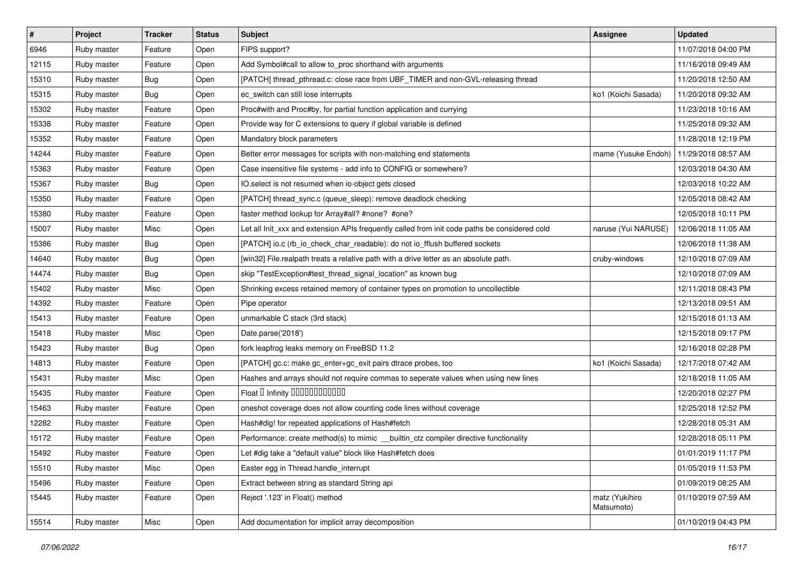| $\vert$ # | Project     | <b>Tracker</b> | <b>Status</b> | <b>Subject</b>                                                                                | Assignee                     | <b>Updated</b>      |
|-----------|-------------|----------------|---------------|-----------------------------------------------------------------------------------------------|------------------------------|---------------------|
| 6946      | Ruby master | Feature        | Open          | FIPS support?                                                                                 |                              | 11/07/2018 04:00 PM |
| 12115     | Ruby master | Feature        | Open          | Add Symbol#call to allow to_proc shorthand with arguments                                     |                              | 11/16/2018 09:49 AM |
| 15310     | Ruby master | <b>Bug</b>     | Open          | [PATCH] thread_pthread.c: close race from UBF_TIMER and non-GVL-releasing thread              |                              | 11/20/2018 12:50 AM |
| 15315     | Ruby master | <b>Bug</b>     | Open          | ec_switch can still lose interrupts                                                           | ko1 (Koichi Sasada)          | 11/20/2018 09:32 AM |
| 15302     | Ruby master | Feature        | Open          | Proc#with and Proc#by, for partial function application and currying                          |                              | 11/23/2018 10:16 AM |
| 15338     | Ruby master | Feature        | Open          | Provide way for C extensions to query if global variable is defined                           |                              | 11/25/2018 09:32 AM |
| 15352     | Ruby master | Feature        | Open          | Mandatory block parameters                                                                    |                              | 11/28/2018 12:19 PM |
| 14244     | Ruby master | Feature        | Open          | Better error messages for scripts with non-matching end statements                            | mame (Yusuke Endoh)          | 11/29/2018 08:57 AM |
| 15363     | Ruby master | Feature        | Open          | Case insensitive file systems - add info to CONFIG or somewhere?                              |                              | 12/03/2018 04:30 AM |
| 15367     | Ruby master | <b>Bug</b>     | Open          | IO.select is not resumed when io-object gets closed                                           |                              | 12/03/2018 10:22 AM |
| 15350     | Ruby master | Feature        | Open          | [PATCH] thread_sync.c (queue_sleep): remove deadlock checking                                 |                              | 12/05/2018 08:42 AM |
| 15380     | Ruby master | Feature        | Open          | faster method lookup for Array#all? #none? #one?                                              |                              | 12/05/2018 10:11 PM |
| 15007     | Ruby master | Misc           | Open          | Let all Init_xxx and extension APIs frequently called from init code paths be considered cold | naruse (Yui NARUSE)          | 12/06/2018 11:05 AM |
| 15386     | Ruby master | <b>Bug</b>     | Open          | [PATCH] io.c (rb_io_check_char_readable): do not io_fflush buffered sockets                   |                              | 12/06/2018 11:38 AM |
| 14640     | Ruby master | <b>Bug</b>     | Open          | [win32] File.realpath treats a relative path with a drive letter as an absolute path.         | cruby-windows                | 12/10/2018 07:09 AM |
| 14474     | Ruby master | <b>Bug</b>     | Open          | skip "TestException#test_thread_signal_location" as known bug                                 |                              | 12/10/2018 07:09 AM |
| 15402     | Ruby master | Misc           | Open          | Shrinking excess retained memory of container types on promotion to uncollectible             |                              | 12/11/2018 08:43 PM |
| 14392     | Ruby master | Feature        | Open          | Pipe operator                                                                                 |                              | 12/13/2018 09:51 AM |
| 15413     | Ruby master | Feature        | Open          | unmarkable C stack (3rd stack)                                                                |                              | 12/15/2018 01:13 AM |
| 15418     | Ruby master | Misc           | Open          | Date.parse('2018')                                                                            |                              | 12/15/2018 09:17 PM |
| 15423     | Ruby master | <b>Bug</b>     | Open          | fork leapfrog leaks memory on FreeBSD 11.2                                                    |                              | 12/16/2018 02:28 PM |
| 14813     | Ruby master | Feature        | Open          | [PATCH] gc.c: make gc_enter+gc_exit pairs dtrace probes, too                                  | ko1 (Koichi Sasada)          | 12/17/2018 07:42 AM |
| 15431     | Ruby master | Misc           | Open          | Hashes and arrays should not require commas to seperate values when using new lines           |                              | 12/18/2018 11:05 AM |
| 15435     | Ruby master | Feature        | Open          | Float I Infinity 000000000000                                                                 |                              | 12/20/2018 02:27 PM |
| 15463     | Ruby master | Feature        | Open          | oneshot coverage does not allow counting code lines without coverage                          |                              | 12/25/2018 12:52 PM |
| 12282     | Ruby master | Feature        | Open          | Hash#dig! for repeated applications of Hash#fetch                                             |                              | 12/28/2018 05:31 AM |
| 15172     | Ruby master | Feature        | Open          | Performance: create method(s) to mimic _builtin_ctz compiler directive functionality          |                              | 12/28/2018 05:11 PM |
| 15492     | Ruby master | Feature        | Open          | Let #dig take a "default value" block like Hash#fetch does                                    |                              | 01/01/2019 11:17 PM |
| 15510     | Ruby master | Misc           | Open          | Easter egg in Thread.handle interrupt                                                         |                              | 01/05/2019 11:53 PM |
| 15496     | Ruby master | Feature        | Open          | Extract between string as standard String api                                                 |                              | 01/09/2019 08:25 AM |
| 15445     | Ruby master | Feature        | Open          | Reject '.123' in Float() method                                                               | matz (Yukihiro<br>Matsumoto) | 01/10/2019 07:59 AM |
| 15514     | Ruby master | Misc           | Open          | Add documentation for implicit array decomposition                                            |                              | 01/10/2019 04:43 PM |